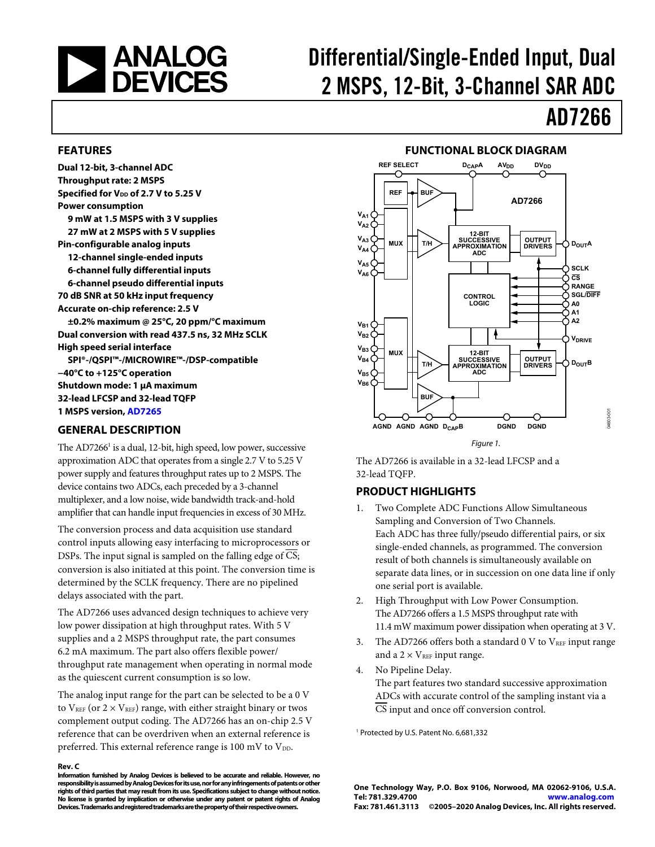<span id="page-0-0"></span>

# Differential/Single-Ended Input, Dual 2 MSPS, 12-Bit, 3-Channel SAR ADC

# AD7266

04603-001

#### **FEATURES**

**Dual 12-bit, 3-channel ADC Throughput rate: 2 MSPS**  Specified for V<sub>DD</sub> of 2.7 V to 5.25 V **Power consumption 9 mW at 1.5 MSPS with 3 V supplies 27 mW at 2 MSPS with 5 V supplies Pin-configurable analog inputs 12-channel single-ended inputs 6-channel fully differential inputs 6-channel pseudo differential inputs 70 dB SNR at 50 kHz input frequency Accurate on-chip reference: 2.5 V ±0.2% maximum @ 25°C, 20 ppm/°C maximum Dual conversion with read 437.5 ns, 32 MHz SCLK High speed serial interface SPI®-/QSPI™-/MICROWIRE™-/DSP-compatible −40°C to +125°C operation Shutdown mode: 1 μA maximum 32-lead LFCSP and 32-lead TQFP 1 MSPS version, [AD7265](http://www.analog.com/AD7265)**

#### **GENERAL DESCRIPTION**

The AD7266<sup>1</sup> is a dual, 12-bit, high speed, low power, successive approximation ADC that operates from a single 2.7 V to 5.25 V power supply and features throughput rates up to 2 MSPS. The device contains two ADCs, each preceded by a 3-channel multiplexer, and a low noise, wide bandwidth track-and-hold amplifier that can handle input frequencies in excess of 30 MHz.

The conversion process and data acquisition use standard control inputs allowing easy interfacing to microprocessors or DSPs. The input signal is sampled on the falling edge of CS; conversion is also initiated at this point. The conversion time is determined by the SCLK frequency. There are no pipelined delays associated with the part.

The AD7266 uses advanced design techniques to achieve very low power dissipation at high throughput rates. With 5 V supplies and a 2 MSPS throughput rate, the part consumes 6.2 mA maximum. The part also offers flexible power/ throughput rate management when operating in normal mode as the quiescent current consumption is so low.

The analog input range for the part can be selected to be a 0 V to  $V_{REF}$  (or  $2 \times V_{REF}$ ) range, with either straight binary or twos complement output coding. The AD7266 has an on-chip 2.5 V reference that can be overdriven when an external reference is preferred. This external reference range is 100 mV to  $V_{DD}$ .

#### **Rev. C**

**Information furnished by Analog Devices is believed to be accurate and reliable. However, no responsibility is assumed by Analog Devices for its use, nor for any infringements of patents or other rights of third parties that may result from its use. Specifications subject to change without notice. No license is granted by implication or otherwise under any patent or patent rights of Analog Devices. Trademarks and registered trademarks are the property of their respective owners.** 

#### **FUNCTIONAL BLOCK DIAGRAM**



Figure 1.

The AD7266 is available in a 32-lead LFCSP and a 32-lead TQFP.

#### **PRODUCT HIGHLIGHTS**

- 1. Two Complete ADC Functions Allow Simultaneous Sampling and Conversion of Two Channels. Each ADC has three fully/pseudo differential pairs, or six single-ended channels, as programmed. The conversion result of both channels is simultaneously available on separate data lines, or in succession on one data line if only one serial port is available.
- 2. High Throughput with Low Power Consumption. The AD7266 offers a 1.5 MSPS throughput rate with 11.4 mW maximum power dissipation when operating at 3 V.
- 3. The AD7266 offers both a standard 0 V to  $V_{REF}$  input range and a  $2 \times V_{REF}$  input range.
- 4. No Pipeline Delay. The part features two standard successive approximation ADCs with accurate control of the sampling instant via a CS input and once off conversion control.

1 Protected by U.S. Patent No. 6,681,332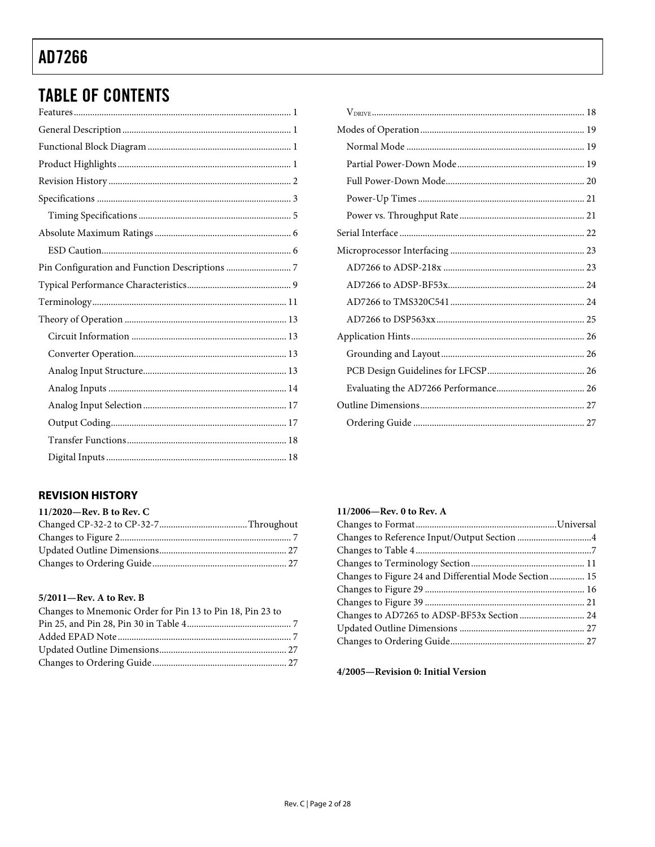## **TABLE OF CONTENTS**

### **REVISION HISTORY**

| 11/2020-Rev. B to Rev. C |  |
|--------------------------|--|
|                          |  |
|                          |  |
|                          |  |
|                          |  |

#### 5/2011-Rev. A to Rev. B

| Changes to Mnemonic Order for Pin 13 to Pin 18, Pin 23 to |  |
|-----------------------------------------------------------|--|
|                                                           |  |
|                                                           |  |
|                                                           |  |
|                                                           |  |

### 11/2006-Rev. 0 to Rev. A

| Changes to Figure 24 and Differential Mode Section 15 |  |
|-------------------------------------------------------|--|
|                                                       |  |
|                                                       |  |
|                                                       |  |
|                                                       |  |
|                                                       |  |
|                                                       |  |

### 4/2005-Revision 0: Initial Version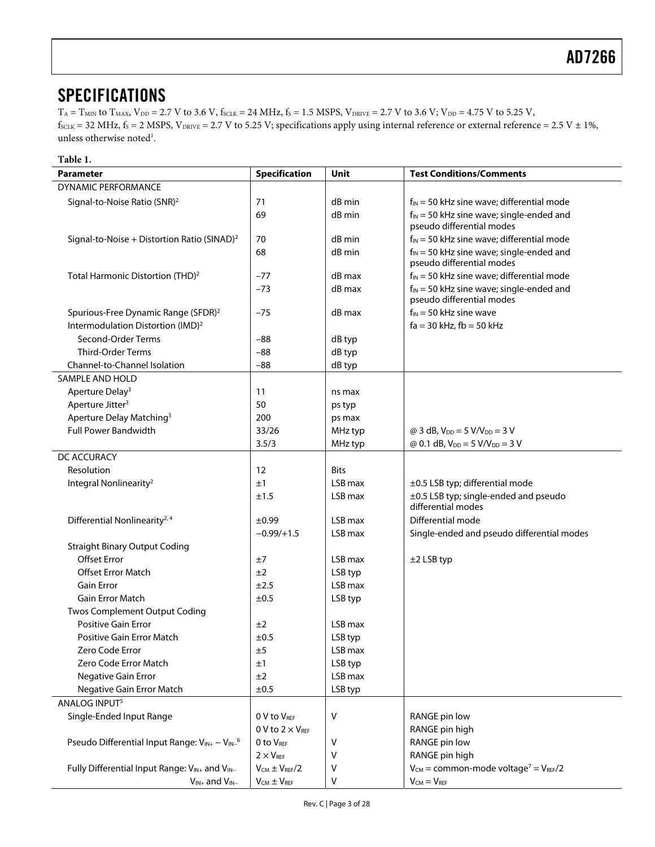### <span id="page-2-0"></span>**SPECIFICATIONS**

 $T_A = T_{MIN}$  to  $T_{MAX}$ ,  $V_{DD} = 2.7$  V to 3.6 V,  $f_{SCLK} = 24$  MHz,  $f_S = 1.5$  MSPS,  $V_{DRIVE} = 2.7$  V to 3.6 V;  $V_{DD} = 4.75$  V to 5.25 V,  $f_{SCLK} = 32 \text{ MHz}, f_S = 2 \text{ MSPS}, V_{DRIVE} = 2.7 \text{ V to } 5.25 \text{ V};$  specifications apply using internal reference or external reference = 2.5 V  $\pm$  1%, unless otherwise noted<sup>1</sup>.

#### **Table 1.**

| <b>Parameter</b>                                          | Specification             | Unit        | <b>Test Conditions/Comments</b>                                            |
|-----------------------------------------------------------|---------------------------|-------------|----------------------------------------------------------------------------|
| <b>DYNAMIC PERFORMANCE</b>                                |                           |             |                                                                            |
| Signal-to-Noise Ratio (SNR) <sup>2</sup>                  | 71                        | dB min      | $f_{IN}$ = 50 kHz sine wave; differential mode                             |
|                                                           | 69                        | dB min      | $f_{IN}$ = 50 kHz sine wave; single-ended and<br>pseudo differential modes |
| Signal-to-Noise + Distortion Ratio (SINAD) <sup>2</sup>   | 70                        | dB min      | $f_{IN}$ = 50 kHz sine wave; differential mode                             |
|                                                           | 68                        | dB min      | $f_{IN}$ = 50 kHz sine wave; single-ended and                              |
|                                                           |                           |             | pseudo differential modes                                                  |
| Total Harmonic Distortion (THD) <sup>2</sup>              | $-77$                     | dB max      | $f_{IN}$ = 50 kHz sine wave; differential mode                             |
|                                                           | $-73$                     | dB max      | $f_{IN}$ = 50 kHz sine wave; single-ended and<br>pseudo differential modes |
| Spurious-Free Dynamic Range (SFDR) <sup>2</sup>           | $-75$                     | dB max      | $f_{IN}$ = 50 kHz sine wave                                                |
| Intermodulation Distortion (IMD) <sup>2</sup>             |                           |             | $fa = 30$ kHz, $fb = 50$ kHz                                               |
| Second-Order Terms                                        | -88                       | dB typ      |                                                                            |
| <b>Third-Order Terms</b>                                  | $-88$                     | dB typ      |                                                                            |
| <b>Channel-to-Channel Isolation</b>                       | $-88$                     | dB typ      |                                                                            |
| SAMPLE AND HOLD                                           |                           |             |                                                                            |
| Aperture Delay <sup>3</sup>                               | 11                        | ns max      |                                                                            |
| Aperture Jitter <sup>3</sup>                              | 50                        | ps typ      |                                                                            |
| Aperture Delay Matching <sup>3</sup>                      | 200                       | ps max      |                                                                            |
| <b>Full Power Bandwidth</b>                               | 33/26                     | MHz typ     | @ 3 dB, $V_{DD} = 5 V/V_{DD} = 3 V$                                        |
|                                                           | 3.5/3                     | MHz typ     | @ 0.1 dB, $V_{DD} = 5$ V/V <sub>DD</sub> = 3 V                             |
| DC ACCURACY                                               |                           |             |                                                                            |
| Resolution                                                | 12                        | <b>Bits</b> |                                                                            |
| Integral Nonlinearity <sup>2</sup>                        | ±1                        | LSB max     | ±0.5 LSB typ; differential mode                                            |
|                                                           | ±1.5                      | LSB max     | ±0.5 LSB typ; single-ended and pseudo<br>differential modes                |
| Differential Nonlinearity <sup>2, 4</sup>                 | $\pm 0.99$                | LSB max     | Differential mode                                                          |
|                                                           | $-0.99/+1.5$              | LSB max     | Single-ended and pseudo differential modes                                 |
| <b>Straight Binary Output Coding</b>                      |                           |             |                                                                            |
| <b>Offset Error</b>                                       | ±7                        | LSB max     | $±2$ LSB typ                                                               |
| <b>Offset Error Match</b>                                 | ±2                        | LSB typ     |                                                                            |
| <b>Gain Error</b>                                         | ±2.5                      | LSB max     |                                                                            |
| <b>Gain Error Match</b>                                   | ±0.5                      | LSB typ     |                                                                            |
| <b>Twos Complement Output Coding</b>                      |                           |             |                                                                            |
| <b>Positive Gain Error</b>                                | ±2                        | LSB max     |                                                                            |
| <b>Positive Gain Error Match</b>                          | ±0.5                      | LSB typ     |                                                                            |
| Zero Code Error                                           | ±5                        | LSB max     |                                                                            |
| Zero Code Error Match                                     | ±1                        | LSB typ     |                                                                            |
| <b>Negative Gain Error</b>                                | ±2                        | LSB max     |                                                                            |
| Negative Gain Error Match                                 | ±0.5                      | LSB typ     |                                                                            |
| ANALOG INPUT <sup>5</sup>                                 |                           |             |                                                                            |
| Single-Ended Input Range                                  | 0 V to VREF               | ۷           | RANGE pin low                                                              |
|                                                           | 0 V to $2 \times V_{REF}$ |             | RANGE pin high                                                             |
| Pseudo Differential Input Range: VIN+ - VIN- <sup>6</sup> | 0 to VREE                 | ٧           | RANGE pin low                                                              |
|                                                           | $2 \times V_{REF}$        | ٧           | RANGE pin high                                                             |
| Fully Differential Input Range: VIN+ and VIN-             | $V_{CM} \pm V_{REF}/2$    | ٧           | $V_{CM}$ = common-mode voltage <sup>7</sup> = $V_{REF}/2$                  |
| $V_{IN+}$ and $V_{IN-}$                                   | $V_{CM} \pm V_{REF}$      | V           | $V_{CM} = V_{REF}$                                                         |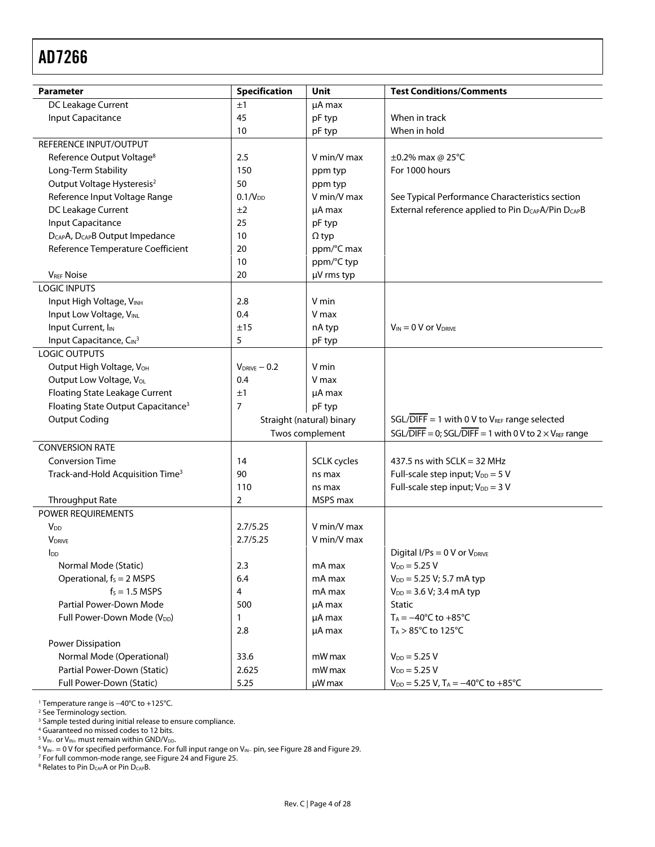<span id="page-3-0"></span>

| <b>Parameter</b>                                        | <b>Specification</b> | <b>Unit</b>               | <b>Test Conditions/Comments</b>                                             |
|---------------------------------------------------------|----------------------|---------------------------|-----------------------------------------------------------------------------|
| DC Leakage Current<br>±1                                |                      | µA max                    |                                                                             |
| <b>Input Capacitance</b>                                | 45                   | pF typ                    | When in track                                                               |
|                                                         | 10                   | pF typ                    | When in hold                                                                |
| REFERENCE INPUT/OUTPUT                                  |                      |                           |                                                                             |
| Reference Output Voltage <sup>8</sup>                   | 2.5                  | V min/V max               | ±0.2% max @ 25°C                                                            |
| Long-Term Stability                                     | 150                  | ppm typ                   | For 1000 hours                                                              |
| Output Voltage Hysteresis <sup>2</sup>                  | 50                   | ppm typ                   |                                                                             |
| Reference Input Voltage Range                           | 0.1/V <sub>DD</sub>  | V min/V max               | See Typical Performance Characteristics section                             |
| DC Leakage Current                                      | ±2                   | $\mu$ A max               | External reference applied to Pin D <sub>CAP</sub> A/Pin D <sub>CAP</sub> B |
| <b>Input Capacitance</b>                                | 25                   | pF typ                    |                                                                             |
| D <sub>CAP</sub> A, D <sub>CAP</sub> B Output Impedance | 10                   | $\Omega$ typ              |                                                                             |
| Reference Temperature Coefficient                       | 20                   | ppm/°C max                |                                                                             |
|                                                         | 10                   | ppm/°C typ                |                                                                             |
| <b>VREF Noise</b>                                       | 20                   | µV rms typ                |                                                                             |
| <b>LOGIC INPUTS</b>                                     |                      |                           |                                                                             |
| Input High Voltage, VINH                                | 2.8                  | V min                     |                                                                             |
| Input Low Voltage, VINL                                 | 0.4                  | V max                     |                                                                             |
| Input Current, I <sub>IN</sub>                          | ±15                  | nA typ                    | $V_{IN} = 0$ V or $V_{DRIVE}$                                               |
| Input Capacitance, CIN3                                 | 5                    | pF typ                    |                                                                             |
| <b>LOGIC OUTPUTS</b>                                    |                      |                           |                                                                             |
| Output High Voltage, VOH                                | $V_{DRIVE} - 0.2$    | V min                     |                                                                             |
| Output Low Voltage, Vol.                                | 0.4                  | V max                     |                                                                             |
| Floating State Leakage Current                          | ±1                   | µA max                    |                                                                             |
| Floating State Output Capacitance <sup>3</sup>          | 7                    | pF typ                    |                                                                             |
| <b>Output Coding</b>                                    |                      | Straight (natural) binary | $SGL/\overline{DIFF} = 1$ with 0 V to V <sub>REF</sub> range selected       |
|                                                         |                      | Twos complement           | SGL/DIFF = 0; SGL/DIFF = 1 with 0 V to 2 $\times$ V <sub>REF</sub> range    |
| <b>CONVERSION RATE</b>                                  |                      |                           |                                                                             |
| <b>Conversion Time</b>                                  | 14                   | <b>SCLK</b> cycles        | 437.5 ns with $SCLK = 32 MHz$                                               |
| Track-and-Hold Acquisition Time <sup>3</sup>            | 90                   | ns max                    | Full-scale step input; $V_{DD} = 5 V$                                       |
|                                                         | 110                  | ns max                    | Full-scale step input; $V_{DD} = 3 V$                                       |
| Throughput Rate                                         | 2                    | MSPS max                  |                                                                             |
| POWER REQUIREMENTS                                      |                      |                           |                                                                             |
| <b>V<sub>DD</sub></b>                                   | 2.7/5.25             | V min/V max               |                                                                             |
| <b>V</b> DRIVE                                          | 2.7/5.25             | V min/V max               |                                                                             |
| <b>I</b> <sub>DD</sub>                                  |                      |                           | Digital I/Ps = $0$ V or $V_{DRIVE}$                                         |
| Normal Mode (Static)                                    | 2.3                  | mA max                    | $V_{DD} = 5.25 V$                                                           |
| Operational, $f_s = 2$ MSPS                             | 6.4                  | mA max                    | $V_{DD} = 5.25 V; 5.7 mA typ$                                               |
| $f_s = 1.5$ MSPS                                        | 4                    | mA max                    | $V_{DD} = 3.6 V; 3.4 mA typ$                                                |
| Partial Power-Down Mode                                 | 500                  | $\mu$ A max               | Static                                                                      |
| Full Power-Down Mode (V <sub>DD</sub> )                 |                      |                           | $T_A = -40^{\circ}C$ to $+85^{\circ}C$                                      |
|                                                         | 1                    | µA max                    |                                                                             |
|                                                         | 2.8                  | µA max                    | $T_A > 85^{\circ}$ C to 125 $^{\circ}$ C                                    |
| <b>Power Dissipation</b>                                |                      |                           |                                                                             |
| Normal Mode (Operational)                               | 33.6                 | mW max                    | $V_{DD} = 5.25 V$                                                           |
| Partial Power-Down (Static)                             | 2.625                | mW max                    | $V_{DD} = 5.25 V$                                                           |
| Full Power-Down (Static)                                | 5.25                 | µW max                    | $V_{DD} = 5.25 V$ , T <sub>A</sub> = -40°C to +85°C                         |

<sup>1</sup> Temperature range is −40°C to +125°C.<br><sup>2</sup> Se[e Terminology](#page-10-1) section.<br><sup>3</sup> Sample tested during initial release to ensure compliance.<br><sup>4</sup> Guaranteed no missed codes to 12 bits.

<sup>5</sup> V<sub>IN−</sub> or V<sub>IN+</sub> must remain within GND/V<sub>DD</sub>.<br><sup>6</sup> V… — 0 V for specified performance. For t

<sup>6</sup> V<sub>IN−</sub> = 0 V for specified performance. For full input range on V<sub>IN−</sub> pin, see [Figure 28 a](#page-15-0)nd [Figure 29.](#page-15-0)<br><sup>7</sup> For full common-mode range, se[e Figure 24 a](#page-14-0)nd Figure 25.<br><sup>8</sup> Relates to Pin D<sub>CAP</sub>A or Pin D<sub>CAP</sub>B.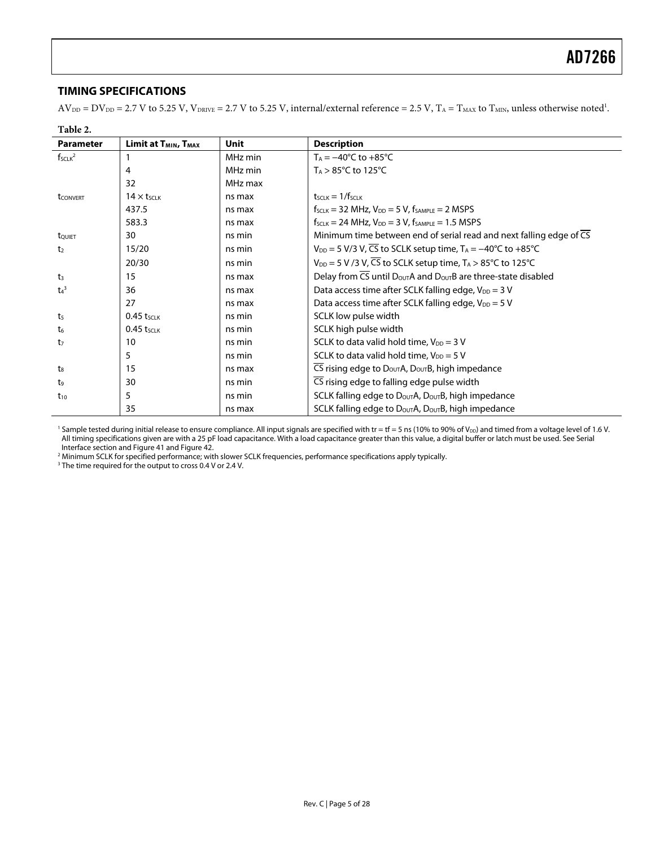#### <span id="page-4-0"></span>**TIMING SPECIFICATIONS**

 $AV_{DD} = DV_{DD} = 2.7$  V to 5.25 V,  $V_{DRIVE} = 2.7$  V to 5.25 V, internal/external reference = 2.5 V,  $T_A = T_{MAX}$  to  $T_{MIN}$ , unless otherwise noted<sup>1</sup>.

| Table 2.           |                                              |             |                                                                                                   |
|--------------------|----------------------------------------------|-------------|---------------------------------------------------------------------------------------------------|
| <b>Parameter</b>   | Limit at T <sub>MIN</sub> , T <sub>MAX</sub> | <b>Unit</b> | <b>Description</b>                                                                                |
| $f_{SCLK}^2$       |                                              | MHz min     | $T_A = -40^{\circ}C$ to $+85^{\circ}C$                                                            |
|                    | 4                                            | MHz min     | $T_A > 85^{\circ}$ C to 125 $^{\circ}$ C                                                          |
|                    | 32                                           | MHz max     |                                                                                                   |
| <b>t</b> CONVERT   | $14 \times t$ <sub>SCLK</sub>                | ns max      | $t$ <sub>SCLK</sub> $= 1/f$ <sub>SCLK</sub>                                                       |
|                    | 437.5                                        | ns max      | $f_{SCLK}$ = 32 MHz, $V_{DD}$ = 5 V, $f_{SAMPLE}$ = 2 MSPS                                        |
|                    | 583.3                                        | ns max      | $f_{SCLK} = 24 \text{ MHz}$ , $V_{DD} = 3 \text{ V}$ , $f_{SAMPLE} = 1.5 \text{ MSPS}$            |
| touiet             | 30                                           | ns min      | Minimum time between end of serial read and next falling edge of $\overline{CS}$                  |
| t <sub>2</sub>     | 15/20                                        | ns min      | $V_{DD}$ = 5 V/3 V, $\overline{CS}$ to SCLK setup time, $T_A$ = -40°C to +85°C                    |
|                    | 20/30                                        | ns min      | $V_{DD}$ = 5 V /3 V, CS to SCLK setup time, $T_A > 85^{\circ}$ C to 125°C                         |
| $t_3$              | 15                                           | ns max      | Delay from $\overline{CS}$ until $D_{\text{OUT}}A$ and $D_{\text{OUT}}B$ are three-state disabled |
| $t_4$ <sup>3</sup> | 36                                           | ns max      | Data access time after SCLK falling edge, V <sub>DD</sub> = 3 V                                   |
|                    | 27                                           | ns max      | Data access time after SCLK falling edge, $V_{DD} = 5 V$                                          |
| t <sub>5</sub>     | $0.45$ tsclk                                 | ns min      | SCLK low pulse width                                                                              |
| $t_6$              | $0.45$ tsclk                                 | ns min      | SCLK high pulse width                                                                             |
| t <sub>7</sub>     | 10                                           | ns min      | SCLK to data valid hold time, $V_{DD} = 3 V$                                                      |
|                    | 5                                            | ns min      | SCLK to data valid hold time, $V_{DD} = 5 V$                                                      |
| ts                 | 15                                           | ns max      | CS rising edge to $D_{\text{OUT}}A$ , $D_{\text{OUT}}B$ , high impedance                          |
| t,                 | 30                                           | ns min      | $\overline{CS}$ rising edge to falling edge pulse width                                           |
| $t_{10}$           | 5                                            | ns min      | SCLK falling edge to DoutA, DoutB, high impedance                                                 |
|                    | 35                                           | ns max      | SCLK falling edge to $D_{\text{OUT}}A$ , $D_{\text{OUT}}B$ , high impedance                       |

<sup>1</sup> Sample tested during initial release to ensure compliance. All input signals are specified with tr = tf = 5 ns (10% to 90% of V<sub>DD</sub>) and timed from a voltage level of 1.6 V. All timing specifications given are with a 25 pF load capacitance. With a load capacitance greater than this value, a digital buffer or latch must be used. Se[e Serial](#page-21-1)  [Interface](#page-21-1) section an[d Figure 41 a](#page-21-1)n[d Figure 42.](#page-21-1) 

<sup>2</sup> Minimum SCLK for specified performance; with slower SCLK frequencies, performance specifications apply typically.<br><sup>3</sup> The time required for the output to cross 0.4 V or 2.4 V.

<sup>3</sup> The time required for the output to cross 0.4 V or 2.4 V.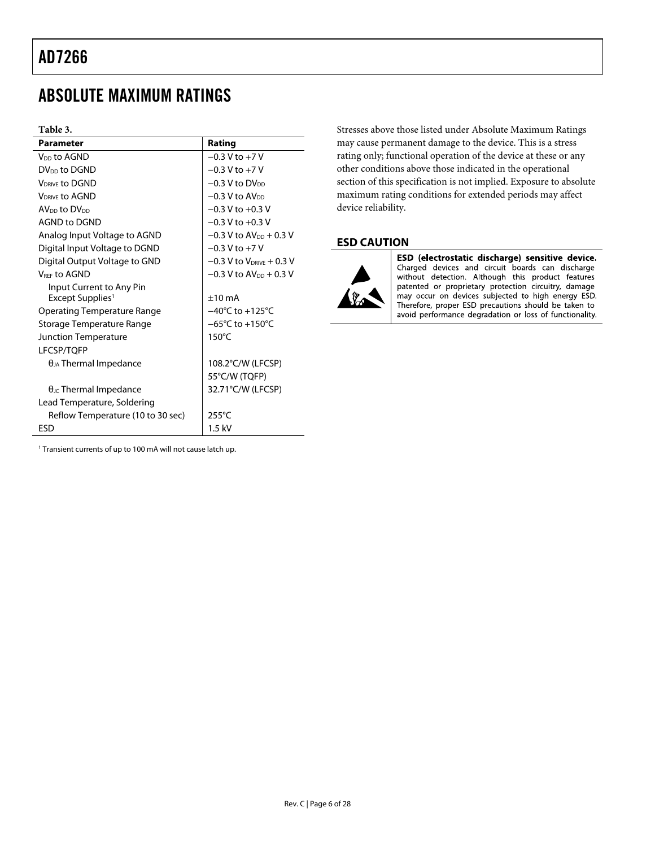### <span id="page-5-3"></span><span id="page-5-1"></span><span id="page-5-0"></span>ABSOLUTE MAXIMUM RATINGS

#### **Table 3.**

| <b>Parameter</b>                       | Rating                               |
|----------------------------------------|--------------------------------------|
| V <sub>DD</sub> to AGND                | $-0.3$ V to $+7$ V                   |
| DV <sub>DD</sub> to DGND               | $-0.3$ V to $+7$ V                   |
| <b>VDRIVE to DGND</b>                  | $-0.3$ V to DV <sub>DD</sub>         |
| <b>VDRIVE TO AGND</b>                  | $-0.3$ V to AV <sub>DD</sub>         |
| AV <sub>DD</sub> to DV <sub>DD</sub>   | $-0.3$ V to $+0.3$ V                 |
| AGND to DGND                           | $-0.3$ V to $+0.3$ V                 |
| Analog Input Voltage to AGND           | $-0.3$ V to AV <sub>DD</sub> + 0.3 V |
| Digital Input Voltage to DGND          | $-0.3$ V to $+7$ V                   |
| Digital Output Voltage to GND          | $-0.3$ V to $V_{DRIVE} + 0.3$ V      |
| <b>VREE TO AGND</b>                    | $-0.3$ V to AV <sub>pp</sub> + 0.3 V |
| Input Current to Any Pin               |                                      |
| Except Supplies <sup>1</sup>           | $+10 \text{ mA}$                     |
| Operating Temperature Range            | $-40^{\circ}$ C to $+125^{\circ}$ C  |
| Storage Temperature Range              | $-65^{\circ}$ C to $+150^{\circ}$ C  |
| <b>Junction Temperature</b>            | $150^{\circ}$ C                      |
| <b>LFCSP/TOFP</b>                      |                                      |
| $\theta_{JA}$ Thermal Impedance        | 108.2°C/W (LFCSP)                    |
|                                        | 55°C/W (TQFP)                        |
| $\theta_{\text{JC}}$ Thermal Impedance | 32.71°C/W (LFCSP)                    |
| Lead Temperature, Soldering            |                                      |
| Reflow Temperature (10 to 30 sec)      | $255^{\circ}$ C                      |
| FSD                                    | $1.5$ kV                             |

<span id="page-5-2"></span><sup>1</sup> Transient currents of up to 100 mA will not cause latch up.

Stresses above those listed under Absolute Maximum Ratings may cause permanent damage to the device. This is a stress rating only; functional operation of the device at these or any other conditions above those indicated in the operational section of this specification is not implied. Exposure to absolute maximum rating conditions for extended periods may affect device reliability.

#### **ESD CAUTION**



ESD (electrostatic discharge) sensitive device. Charged devices and circuit boards can discharge without detection. Although this product features patented or proprietary protection circuitry, damage may occur on devices subjected to high energy ESD. Therefore, proper ESD precautions should be taken to avoid performance degradation or loss of functionality.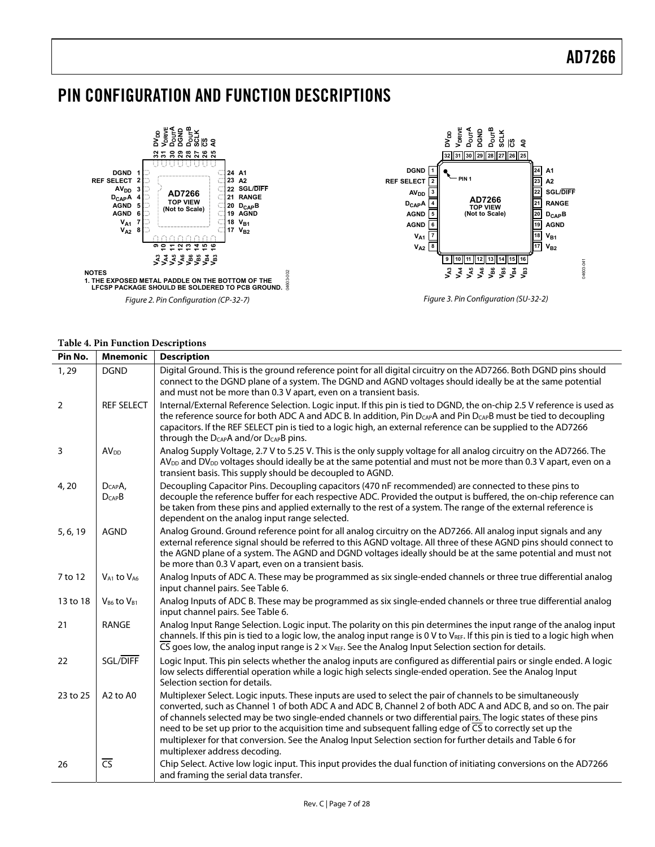### <span id="page-6-0"></span>PIN CONFIGURATION AND FUNCTION DESCRIPTIONS



#### **Table 4. Pin Function Descriptions**

| Pin No.        | <b>Mnemonic</b>                  | <b>Description</b>                                                                                                                                                                                                                                                                                                                                                                                                                                                                                                                                                                                          |
|----------------|----------------------------------|-------------------------------------------------------------------------------------------------------------------------------------------------------------------------------------------------------------------------------------------------------------------------------------------------------------------------------------------------------------------------------------------------------------------------------------------------------------------------------------------------------------------------------------------------------------------------------------------------------------|
| 1,29           | <b>DGND</b>                      | Digital Ground. This is the ground reference point for all digital circuitry on the AD7266. Both DGND pins should<br>connect to the DGND plane of a system. The DGND and AGND voltages should ideally be at the same potential<br>and must not be more than 0.3 V apart, even on a transient basis.                                                                                                                                                                                                                                                                                                         |
| $\overline{2}$ | <b>REF SELECT</b>                | Internal/External Reference Selection. Logic input. If this pin is tied to DGND, the on-chip 2.5 V reference is used as<br>the reference source for both ADC A and ADC B. In addition, Pin D <sub>CAP</sub> A and Pin D <sub>CAP</sub> B must be tied to decoupling<br>capacitors. If the REF SELECT pin is tied to a logic high, an external reference can be supplied to the AD7266<br>through the D <sub>CAP</sub> A and/or D <sub>CAP</sub> B pins.                                                                                                                                                     |
| 3              | <b>AV<sub>DD</sub></b>           | Analog Supply Voltage, 2.7 V to 5.25 V. This is the only supply voltage for all analog circuitry on the AD7266. The<br>AV <sub>DD</sub> and DV <sub>DD</sub> voltages should ideally be at the same potential and must not be more than 0.3 V apart, even on a<br>transient basis. This supply should be decoupled to AGND.                                                                                                                                                                                                                                                                                 |
| 4, 20          | $D_{CAP}A$<br>$D_{CAP}B$         | Decoupling Capacitor Pins. Decoupling capacitors (470 nF recommended) are connected to these pins to<br>decouple the reference buffer for each respective ADC. Provided the output is buffered, the on-chip reference can<br>be taken from these pins and applied externally to the rest of a system. The range of the external reference is<br>dependent on the analog input range selected.                                                                                                                                                                                                               |
| 5, 6, 19       | <b>AGND</b>                      | Analog Ground. Ground reference point for all analog circuitry on the AD7266. All analog input signals and any<br>external reference signal should be referred to this AGND voltage. All three of these AGND pins should connect to<br>the AGND plane of a system. The AGND and DGND voltages ideally should be at the same potential and must not<br>be more than 0.3 V apart, even on a transient basis.                                                                                                                                                                                                  |
| 7 to 12        | $V_{A1}$ to $V_{A6}$             | Analog Inputs of ADC A. These may be programmed as six single-ended channels or three true differential analog<br>input channel pairs. See Table 6.                                                                                                                                                                                                                                                                                                                                                                                                                                                         |
| 13 to 18       | $V_{B6}$ to $V_{B1}$             | Analog Inputs of ADC B. These may be programmed as six single-ended channels or three true differential analog<br>input channel pairs. See Table 6.                                                                                                                                                                                                                                                                                                                                                                                                                                                         |
| 21             | <b>RANGE</b>                     | Analog Input Range Selection. Logic input. The polarity on this pin determines the input range of the analog input<br>channels. If this pin is tied to a logic low, the analog input range is 0 V to VREF. If this pin is tied to a logic high when<br>$\overline{\text{CS}}$ goes low, the analog input range is 2 $\times$ V <sub>REF</sub> . See the Analog Input Selection section for details.                                                                                                                                                                                                         |
| 22             | SGL/DIFF                         | Logic Input. This pin selects whether the analog inputs are configured as differential pairs or single ended. A logic<br>low selects differential operation while a logic high selects single-ended operation. See the Analog Input<br>Selection section for details.                                                                                                                                                                                                                                                                                                                                       |
| 23 to 25       | A <sub>2</sub> to A <sub>0</sub> | Multiplexer Select. Logic inputs. These inputs are used to select the pair of channels to be simultaneously<br>converted, such as Channel 1 of both ADC A and ADC B, Channel 2 of both ADC A and ADC B, and so on. The pair<br>of channels selected may be two single-ended channels or two differential pairs. The logic states of these pins<br>need to be set up prior to the acquisition time and subsequent falling edge of CS to correctly set up the<br>multiplexer for that conversion. See the Analog Input Selection section for further details and Table 6 for<br>multiplexer address decoding. |
| 26             | $\overline{\text{CS}}$           | Chip Select. Active low logic input. This input provides the dual function of initiating conversions on the AD7266<br>and framing the serial data transfer.                                                                                                                                                                                                                                                                                                                                                                                                                                                 |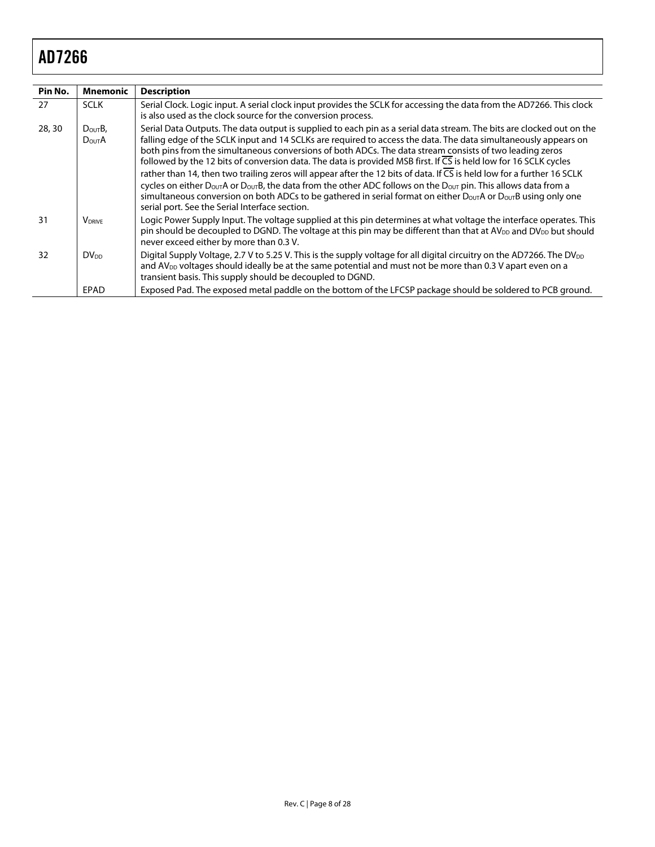| Pin No. | Mnemonic                          | <b>Description</b>                                                                                                                                                                                                                                                                                                                                                                                                                                                                                                                                                                                                                                                                                                                                                                                                                                                                                                                                              |
|---------|-----------------------------------|-----------------------------------------------------------------------------------------------------------------------------------------------------------------------------------------------------------------------------------------------------------------------------------------------------------------------------------------------------------------------------------------------------------------------------------------------------------------------------------------------------------------------------------------------------------------------------------------------------------------------------------------------------------------------------------------------------------------------------------------------------------------------------------------------------------------------------------------------------------------------------------------------------------------------------------------------------------------|
| 27      | <b>SCLK</b>                       | Serial Clock, Logic input. A serial clock input provides the SCLK for accessing the data from the AD7266. This clock<br>is also used as the clock source for the conversion process.                                                                                                                                                                                                                                                                                                                                                                                                                                                                                                                                                                                                                                                                                                                                                                            |
| 28, 30  | $D_{\text{OUT}}B$<br><b>DOUTA</b> | Serial Data Outputs. The data output is supplied to each pin as a serial data stream. The bits are clocked out on the<br>falling edge of the SCLK input and 14 SCLKs are required to access the data. The data simultaneously appears on<br>both pins from the simultaneous conversions of both ADCs. The data stream consists of two leading zeros<br>followed by the 12 bits of conversion data. The data is provided MSB first. If CS is held low for 16 SCLK cycles<br>rather than 14, then two trailing zeros will appear after the 12 bits of data. If $\overline{CS}$ is held low for a further 16 SCLK<br>cycles on either D <sub>OUT</sub> A or D <sub>OUT</sub> B, the data from the other ADC follows on the D <sub>OUT</sub> pin. This allows data from a<br>simultaneous conversion on both ADCs to be gathered in serial format on either $D_{\text{OUT}}A$ or $D_{\text{OUT}}B$ using only one<br>serial port. See the Serial Interface section. |
| 31      | <b>V</b> DRIVE                    | Logic Power Supply Input. The voltage supplied at this pin determines at what voltage the interface operates. This<br>pin should be decoupled to DGND. The voltage at this pin may be different than that at $AV_{DD}$ and $DV_{DD}$ but should<br>never exceed either by more than 0.3 V.                                                                                                                                                                                                                                                                                                                                                                                                                                                                                                                                                                                                                                                                      |
| 32      | DV <sub>DD</sub>                  | Digital Supply Voltage, 2.7 V to 5.25 V. This is the supply voltage for all digital circuitry on the AD7266. The DV <sub>DD</sub><br>and AV <sub>DD</sub> voltages should ideally be at the same potential and must not be more than 0.3 V apart even on a<br>transient basis. This supply should be decoupled to DGND.                                                                                                                                                                                                                                                                                                                                                                                                                                                                                                                                                                                                                                         |
|         | EPAD                              | Exposed Pad. The exposed metal paddle on the bottom of the LFCSP package should be soldered to PCB ground.                                                                                                                                                                                                                                                                                                                                                                                                                                                                                                                                                                                                                                                                                                                                                                                                                                                      |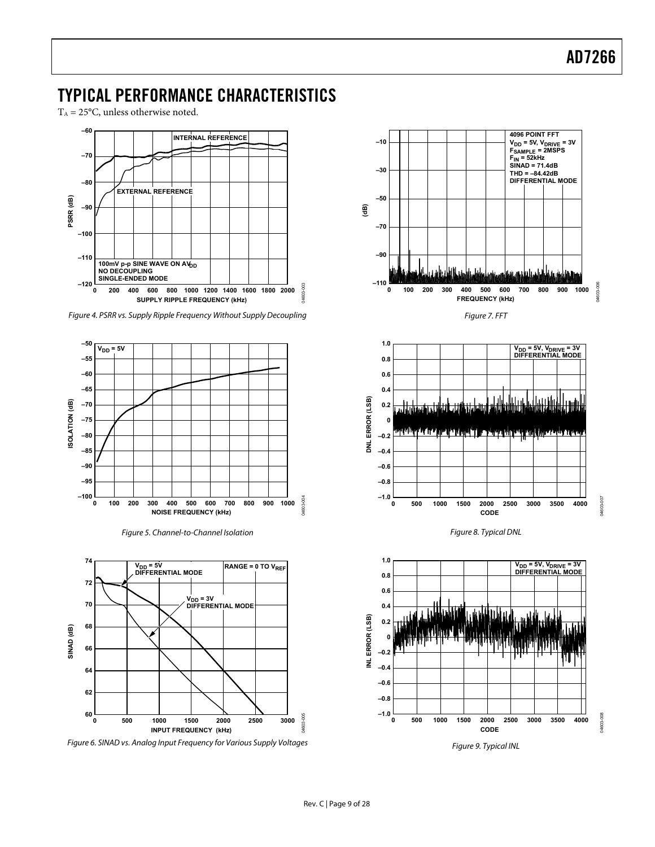### <span id="page-8-1"></span><span id="page-8-0"></span>TYPICAL PERFORMANCE CHARACTERISTICS

 $T_A = 25$ °C, unless otherwise noted.



Figure 4. PSRR vs. Supply Ripple Frequency Without Supply Decoupling

<span id="page-8-2"></span>

Figure 5. Channel-to-Channel Isolation



Figure 6. SINAD vs. Analog Input Frequency for Various Supply Voltages



Figure 9. Typical INL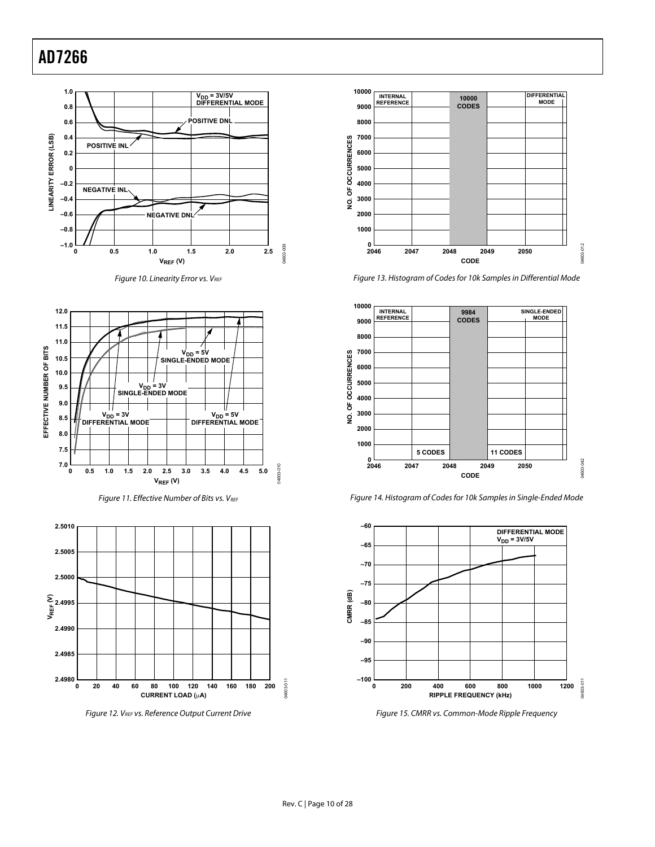

Figure 10. Linearity Error vs.  $V_{REF}$ 



Figure 11. Effective Number of Bits vs. VREF



Figure 12. VREF vs. Reference Output Current Drive



Figure 13. Histogram of Codes for 10k Samples in Differential Mode



Figure 14. Histogram of Codes for 10k Samples in Single-Ended Mode



Figure 15. CMRR vs. Common-Mode Ripple Frequency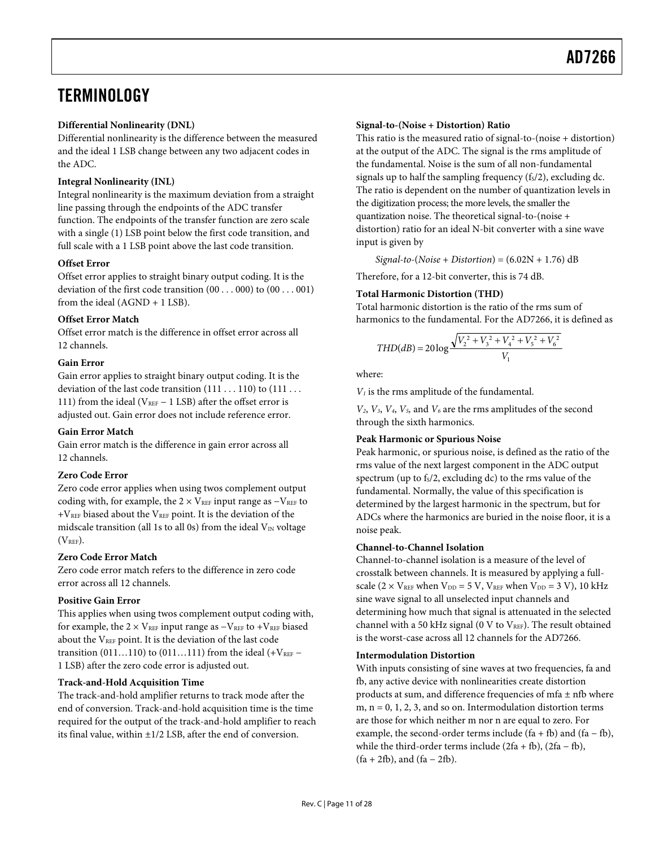### <span id="page-10-1"></span><span id="page-10-0"></span>**TERMINOLOGY**

#### **Differential Nonlinearity (DNL)**

Differential nonlinearity is the difference between the measured and the ideal 1 LSB change between any two adjacent codes in the ADC.

#### **Integral Nonlinearity (INL)**

Integral nonlinearity is the maximum deviation from a straight line passing through the endpoints of the ADC transfer function. The endpoints of the transfer function are zero scale with a single (1) LSB point below the first code transition, and full scale with a 1 LSB point above the last code transition.

#### **Offset Error**

Offset error applies to straight binary output coding. It is the deviation of the first code transition (00 . . . 000) to (00 . . . 001) from the ideal (AGND + 1 LSB).

#### **Offset Error Match**

Offset error match is the difference in offset error across all 12 channels.

#### **Gain Error**

Gain error applies to straight binary output coding. It is the deviation of the last code transition  $(111 \dots 110)$  to  $(111 \dots$ 111) from the ideal ( $V_{REF}$  – 1 LSB) after the offset error is adjusted out. Gain error does not include reference error.

#### **Gain Error Match**

Gain error match is the difference in gain error across all 12 channels.

#### **Zero Code Error**

Zero code error applies when using twos complement output coding with, for example, the  $2 \times V_{REF}$  input range as  $-V_{REF}$  to  $+V<sub>REF</sub>$  biased about the  $V<sub>REF</sub>$  point. It is the deviation of the midscale transition (all 1s to all 0s) from the ideal  $V_{\text{IN}}$  voltage  $(V<sub>REF</sub>)$ .

#### **Zero Code Error Match**

Zero code error match refers to the difference in zero code error across all 12 channels.

#### **Positive Gain Error**

This applies when using twos complement output coding with, for example, the  $2 \times V_{REF}$  input range as  $-V_{REF}$  to  $+V_{REF}$  biased about the V<sub>REF</sub> point. It is the deviation of the last code transition (011...110) to (011...111) from the ideal (+ $V_{REF}$  – 1 LSB) after the zero code error is adjusted out.

#### **Track-and-Hold Acquisition Time**

The track-and-hold amplifier returns to track mode after the end of conversion. Track-and-hold acquisition time is the time required for the output of the track-and-hold amplifier to reach its final value, within ±1/2 LSB, after the end of conversion.

#### **Signal-to-(Noise + Distortion) Ratio**

This ratio is the measured ratio of signal-to-(noise + distortion) at the output of the ADC. The signal is the rms amplitude of the fundamental. Noise is the sum of all non-fundamental signals up to half the sampling frequency  $(f<sub>S</sub>/2)$ , excluding dc. The ratio is dependent on the number of quantization levels in the digitization process; the more levels, the smaller the quantization noise. The theoretical signal-to-(noise + distortion) ratio for an ideal N-bit converter with a sine wave input is given by

*Signal-to-*(*Noise* + *Distortion*) = (6.02N + 1.76) dB

Therefore, for a 12-bit converter, this is 74 dB.

#### **Total Harmonic Distortion (THD)**

Total harmonic distortion is the ratio of the rms sum of harmonics to the fundamental. For the AD7266, it is defined as

$$
THD(dB) = 20 \log \frac{\sqrt{V_2^2 + V_3^2 + V_4^2 + V_5^2 + V_6^2}}{V_1}
$$

where:

*V1* is the rms amplitude of the fundamental.

*V2*, *V3*, *V4*, *V5,* and *V6* are the rms amplitudes of the second through the sixth harmonics.

#### **Peak Harmonic or Spurious Noise**

Peak harmonic, or spurious noise, is defined as the ratio of the rms value of the next largest component in the ADC output spectrum (up to  $f_s/2$ , excluding dc) to the rms value of the fundamental. Normally, the value of this specification is determined by the largest harmonic in the spectrum, but for ADCs where the harmonics are buried in the noise floor, it is a noise peak.

#### **Channel-to-Channel Isolation**

Channel-to-channel isolation is a measure of the level of crosstalk between channels. It is measured by applying a fullscale ( $2 \times V_{REF}$  when  $V_{DD} = 5 V$ ,  $V_{REF}$  when  $V_{DD} = 3 V$ ), 10 kHz sine wave signal to all unselected input channels and determining how much that signal is attenuated in the selected channel with a 50 kHz signal (0 V to  $V_{REF}$ ). The result obtained is the worst-case across all 12 channels for the AD7266.

#### **Intermodulation Distortion**

With inputs consisting of sine waves at two frequencies, fa and fb, any active device with nonlinearities create distortion products at sum, and difference frequencies of mfa ± nfb where m,  $n = 0, 1, 2, 3$ , and so on. Intermodulation distortion terms are those for which neither m nor n are equal to zero. For example, the second-order terms include  $(fa + fb)$  and  $(fa - fb)$ , while the third-order terms include  $(2fa + fb)$ ,  $(2fa - fb)$ ,  $(fa + 2fb)$ , and  $(fa - 2fb)$ .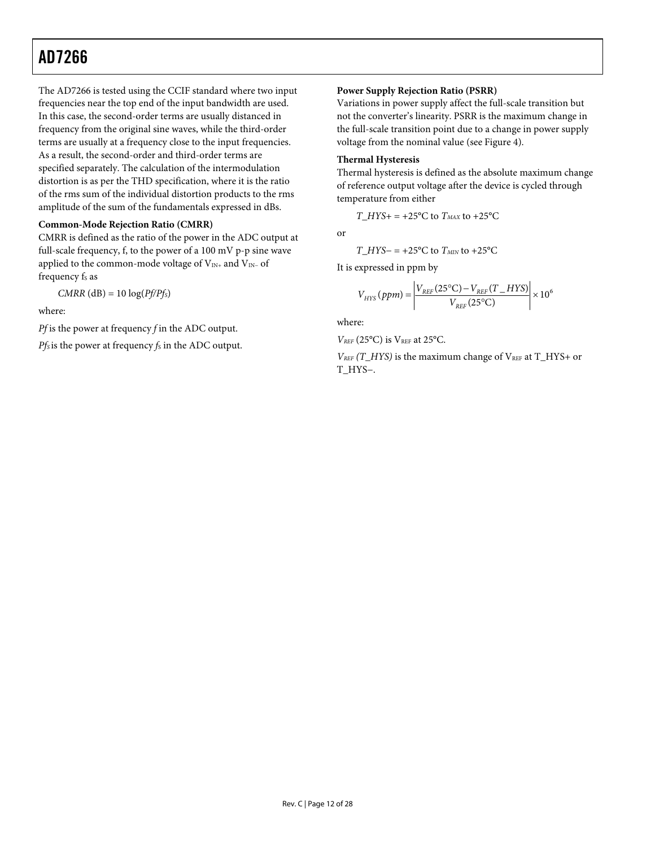The AD7266 is tested using the CCIF standard where two input frequencies near the top end of the input bandwidth are used. In this case, the second-order terms are usually distanced in frequency from the original sine waves, while the third-order terms are usually at a frequency close to the input frequencies. As a result, the second-order and third-order terms are specified separately. The calculation of the intermodulation distortion is as per the THD specification, where it is the ratio of the rms sum of the individual distortion products to the rms amplitude of the sum of the fundamentals expressed in dBs.

#### **Common-Mode Rejection Ratio (CMRR)**

CMRR is defined as the ratio of the power in the ADC output at full-scale frequency, f, to the power of a 100 mV p-p sine wave applied to the common-mode voltage of V<sub>IN+</sub> and V<sub>IN-</sub> of frequency f<sub>s</sub> as

 $CMRR$  (dB) = 10  $log(Pf/Pf_S)$ 

where:

*Pf* is the power at frequency *f* in the ADC output.

*Pfs* is the power at frequency *fs* in the ADC output.

#### **Power Supply Rejection Ratio (PSRR)**

Variations in power supply affect the full-scale transition but not the converter's linearity. PSRR is the maximum change in the full-scale transition point due to a change in power supply voltage from the nominal value (see [Figure 4](#page-8-2)).

#### **Thermal Hysteresis**

Thermal hysteresis is defined as the absolute maximum change of reference output voltage after the device is cycled through temperature from either

*T\_HYS+* = +25 $^{\circ}$ C to *T<sub>MAX</sub>* to +25 $^{\circ}$ C

or

$$
T_{\perp}HYS-
$$
 = +25°C to  $T_{\text{MIN}}$  to +25°C

It is expressed in ppm by

$$
V_{HYS} (ppm) = \left| \frac{V_{REF} (25^{\circ} \text{C}) - V_{REF} (T_{HF})}{V_{REF} (25^{\circ} \text{C})} \right| \times 10^{6}
$$

where:

*VREF* (25°C) is VREF at 25°C.

*VREF* (T\_HYS) is the maximum change of VREF at T\_HYS+ or T\_HYS−.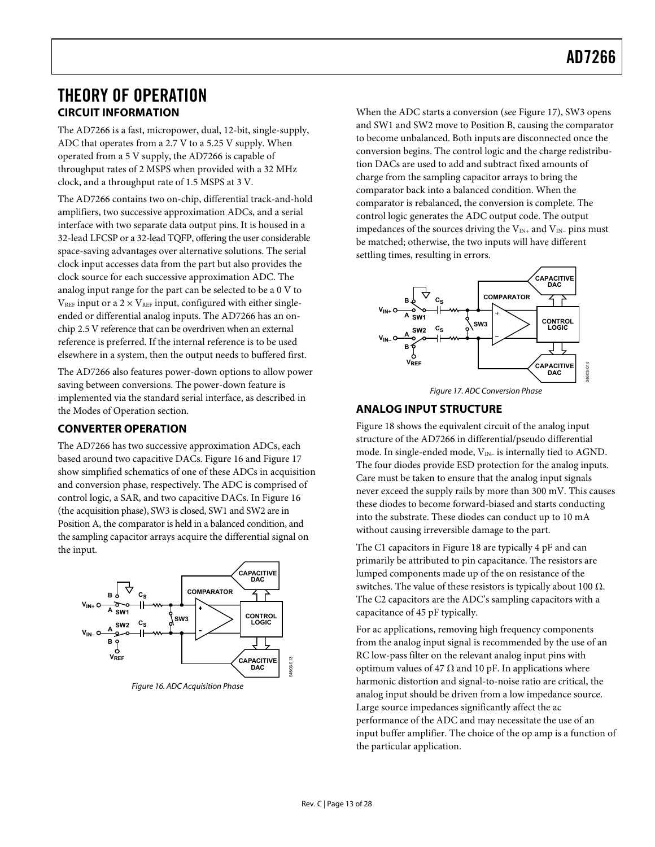### <span id="page-12-1"></span><span id="page-12-0"></span>THEORY OF OPERATION **CIRCUIT INFORMATION**

The AD7266 is a fast, micropower, dual, 12-bit, single-supply, ADC that operates from a 2.7 V to a 5.25 V supply. When operated from a 5 V supply, the AD7266 is capable of throughput rates of 2 MSPS when provided with a 32 MHz clock, and a throughput rate of 1.5 MSPS at 3 V.

The AD7266 contains two on-chip, differential track-and-hold amplifiers, two successive approximation ADCs, and a serial interface with two separate data output pins. It is housed in a 32-lead LFCSP or a 32-lead TQFP, offering the user considerable space-saving advantages over alternative solutions. The serial clock input accesses data from the part but also provides the clock source for each successive approximation ADC. The analog input range for the part can be selected to be a 0 V to  $V_{REF}$  input or a 2  $\times$  V<sub>REF</sub> input, configured with either singleended or differential analog inputs. The AD7266 has an onchip 2.5 V reference that can be overdriven when an external reference is preferred. If the internal reference is to be used elsewhere in a system, then the output needs to buffered first.

<span id="page-12-3"></span>The AD7266 also features power-down options to allow power saving between conversions. The power-down feature is implemented via the standard serial interface, as described in the [Modes of Operation](#page-18-2) section.

### **CONVERTER OPERATION**

The AD7266 has two successive approximation ADCs, each based around two capacitive DACs. [Figure 16](#page-12-2) and [Figure 17](#page-12-3) show simplified schematics of one of these ADCs in acquisition and conversion phase, respectively. The ADC is comprised of control logic, a SAR, and two capacitive DACs. In [Figure 16](#page-12-2) (the acquisition phase), SW3 is closed, SW1 and SW2 are in Position A, the comparator is held in a balanced condition, and the sampling capacitor arrays acquire the differential signal on the input.



<span id="page-12-2"></span>Figure 16. ADC Acquisition Phase

When the ADC starts a conversion (see [Figure 17](#page-12-3)), SW3 opens and SW1 and SW2 move to Position B, causing the comparator to become unbalanced. Both inputs are disconnected once the conversion begins. The control logic and the charge redistribution DACs are used to add and subtract fixed amounts of charge from the sampling capacitor arrays to bring the comparator back into a balanced condition. When the comparator is rebalanced, the conversion is complete. The control logic generates the ADC output code. The output impedances of the sources driving the  $V_{IN+}$  and  $V_{IN-}$  pins must be matched; otherwise, the two inputs will have different settling times, resulting in errors.



Figure 17. ADC Conversion Phase

### **ANALOG INPUT STRUCTURE**

[Figure 18](#page-13-1) shows the equivalent circuit of the analog input structure of the AD7266 in differential/pseudo differential mode. In single-ended mode, V<sub>IN-</sub> is internally tied to AGND. The four diodes provide ESD protection for the analog inputs. Care must be taken to ensure that the analog input signals never exceed the supply rails by more than 300 mV. This causes these diodes to become forward-biased and starts conducting into the substrate. These diodes can conduct up to 10 mA without causing irreversible damage to the part.

The C1 capacitors in [Figure 18](#page-13-1) are typically 4 pF and can primarily be attributed to pin capacitance. The resistors are lumped components made up of the on resistance of the switches. The value of these resistors is typically about 100  $Ω$ . The C2 capacitors are the ADC's sampling capacitors with a capacitance of 45 pF typically.

For ac applications, removing high frequency components from the analog input signal is recommended by the use of an RC low-pass filter on the relevant analog input pins with optimum values of 47  $\Omega$  and 10 pF. In applications where harmonic distortion and signal-to-noise ratio are critical, the analog input should be driven from a low impedance source. Large source impedances significantly affect the ac performance of the ADC and may necessitate the use of an input buffer amplifier. The choice of the op amp is a function of the particular application.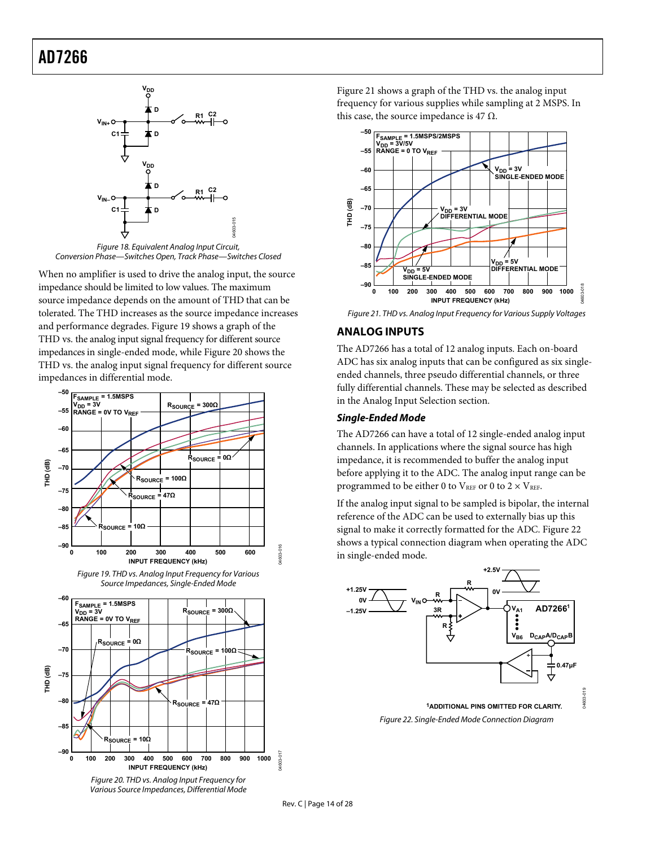<span id="page-13-0"></span>

Figure 18. Equivalent Analog Input Circuit, Conversion Phase—Switches Open, Track Phase—Switches Closed

<span id="page-13-4"></span><span id="page-13-1"></span>When no amplifier is used to drive the analog input, the source impedance should be limited to low values. The maximum source impedance depends on the amount of THD that can be tolerated. The THD increases as the source impedance increases and performance degra[des. Figur](#page-13-2)e 19 shows a graph of the THD vs. the analog input signal frequency for different source impedances in single-ended [mode, whi](#page-13-3)le Figure 20 shows the THD vs. the analog input signal frequency for different source impedances in differential mode.





<span id="page-13-2"></span>

<span id="page-13-5"></span><span id="page-13-3"></span>Various Source Impedances, Differential Mode

[Figure 21](#page-13-4) shows a graph of the THD vs. the analog input frequency for various supplies while sampling at 2 MSPS. In this case, the source impedance is 47  $\Omega$ .



Figure 21. THD vs. Analog Input Frequency for Various Supply Voltages

#### **ANALOG INPUTS**

The AD7266 has a total of 12 analog inputs. Each on-board ADC has six analog inputs that can be configured as six singleended channels, three pseudo differential channels, or three fully differential channels. These may be selected as described in the [Analog Input Selection s](#page-16-1)ection.

#### **Single-Ended Mode**

The AD7266 can have a total of 12 single-ended analog input channels. In applications where the signal source has high impedance, it is recommended to buffer the analog input before applying it to the ADC. The analog input range can be programmed to be either 0 to  $V_{REF}$  or 0 to  $2 \times V_{REF}$ .

If the analog input signal to be sampled is bipolar, the internal reference of the ADC can be used to externally bias up this signal to make it correctly formatted for the ADC. [Figure 22](#page-13-5) shows a typical connection diagram when operating the ADC in single-ended mode.



04603-016

04603-017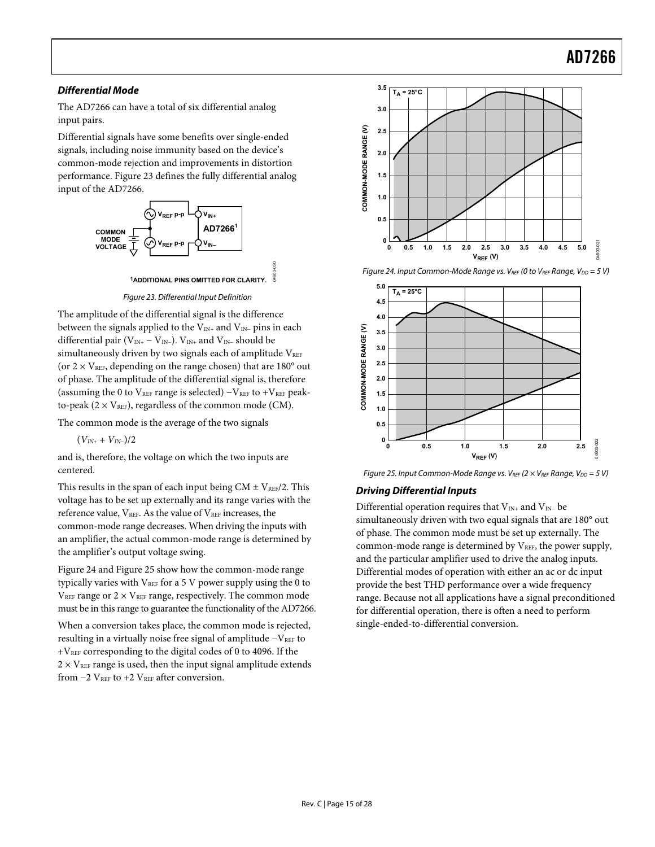#### <span id="page-14-0"></span>**Differential Mode**

The AD7266 can have a total of six differential analog input pairs.

Differential signals have some benefits over single-ended signals, including noise immunity based on the device's common-mode rejection and improvements in distortion performance. [Figure 23](#page-14-1) defines the fully differential analog input of the AD7266.



Figure 23. Differential Input Definition

<span id="page-14-2"></span><span id="page-14-1"></span>The amplitude of the differential signal is the difference between the signals applied to the  $V_{IN+}$  and  $V_{IN-}$  pins in each differential pair ( $V_{IN+} - V_{IN-}$ ).  $V_{IN+}$  and  $V_{IN-}$  should be simultaneously driven by two signals each of amplitude  $V_{REF}$ (or  $2 \times V_{REF}$ , depending on the range chosen) that are 180 $^{\circ}$  out of phase. The amplitude of the differential signal is, therefore (assuming the 0 to  $V_{REF}$  range is selected) – $V_{REF}$  to + $V_{REF}$  peakto-peak ( $2 \times V_{REF}$ ), regardless of the common mode (CM).

The common mode is the average of the two signals

(*VIN+* + *VIN−*)/2

and is, therefore, the voltage on which the two inputs are centered.

<span id="page-14-3"></span>This results in the span of each input being CM  $\pm$  V<sub>REF</sub>/2. This voltage has to be set up externally and its range varies with the reference value, VREF. As the value of VREF increases, the common-mode range decreases. When driving the inputs with an amplifier, the actual common-mode range is determined by the amplifier's output voltage swing.

[Figure 24](#page-14-2) and [Figure 25](#page-14-3) show how the common-mode range typically varies with  $V_{REF}$  for a 5 V power supply using the 0 to  $V_{REF}$  range or  $2 \times V_{REF}$  range, respectively. The common mode must be in this range to guarantee the functionality of the AD7266.

When a conversion takes place, the common mode is rejected, resulting in a virtually noise free signal of amplitude -VREF to  $+V<sub>REF</sub>$  corresponding to the digital codes of 0 to 4096. If the  $2 \times V_{REF}$  range is used, then the input signal amplitude extends from  $-2$  V<sub>REF</sub> to  $+2$  V<sub>REF</sub> after conversion.



Figure 24. Input Common-Mode Range vs.  $V_{REF}$  (0 to  $V_{REF}$  Range,  $V_{DD} = 5 V$ )



Figure 25. Input Common-Mode Range vs. VREF ( $2 \times V$ REF Range, V<sub>DD</sub> = 5 V)

#### **Driving Differential Inputs**

Differential operation requires that V<sub>IN+</sub> and V<sub>IN-</sub> be simultaneously driven with two equal signals that are 180° out of phase. The common mode must be set up externally. The common-mode range is determined by  $V_{REF}$ , the power supply, and the particular amplifier used to drive the analog inputs. Differential modes of operation with either an ac or dc input provide the best THD performance over a wide frequency range. Because not all applications have a signal preconditioned for differential operation, there is often a need to perform single-ended-to-differential conversion.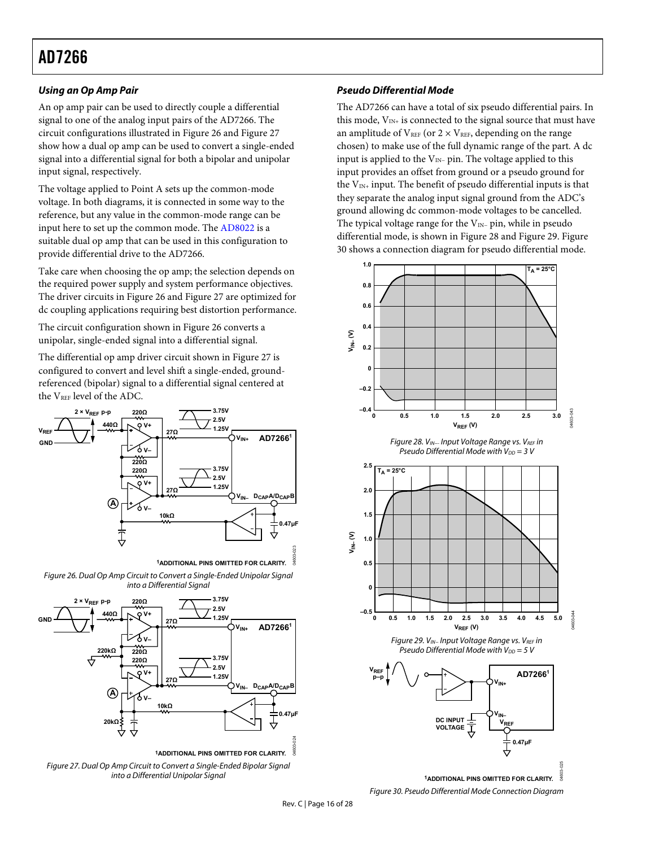#### <span id="page-15-0"></span>**Using an Op Amp Pair**

An op amp pair can be used to directly couple a differential signal to one of the analog input pairs of the AD7266. The circuit configurations illustrated in [Figure 26](#page-15-1) and [Figure 27](#page-15-2) show how a dual op amp can be used to convert a single-ended signal into a differential signal for both a bipolar and unipolar input signal, respectively.

The voltage applied to Point A sets up the common-mode voltage. In both diagrams, it is connected in some way to the reference, but any value in the common-mode range can be input here to set up the common mode. The [AD8022](http://www.analog.com/AD8022) is a suitable dual op amp that can be used in this configuration to provide differential drive to the AD7266.

Take care when choosing the op amp; the selection depends on the required power supply and system performance objectives. The driver circuits in [Figure 26](#page-15-1) and [Figure 27](#page-15-2) are optimized for dc coupling applications requiring best distortion performance.

The circuit configuration shown in [Figure 26](#page-15-1) converts a unipolar, single-ended signal into a differential signal.

The differential op amp driver circuit shown in [Figure 27](#page-15-2) is configured to convert and level shift a single-ended, groundreferenced (bipolar) signal to a differential signal centered at the V<sub>REF</sub> level of the ADC.

<span id="page-15-3"></span>

Figure 26. Dual Op Amp Circuit to Convert a Single-Ended Unipolar Signal into a Differential Sianal

<span id="page-15-4"></span><span id="page-15-1"></span>

<span id="page-15-5"></span><span id="page-15-2"></span>Figure 27. Dual Op Amp Circuit to Convert a Single-Ended Bipolar Signal into a Differential Unipolar Signal

#### **Pseudo Differential Mode**

The AD7266 can have a total of six pseudo differential pairs. In this mode,  $V_{IN+}$  is connected to the signal source that must have an amplitude of  $V_{REF}$  (or  $2 \times V_{REF}$ , depending on the range chosen) to make use of the full dynamic range of the part. A dc input is applied to the V<sub>IN−</sub> pin. The voltage applied to this input provides an offset from ground or a pseudo ground for the  $V_{IN+}$  input. The benefit of pseudo differential inputs is that they separate the analog input signal ground from the ADC's ground allowing dc common-mode voltages to be cancelled. The typical voltage range for the V<sub>IN</sub>- pin, while in pseudo differential mode, is shown in [Figure 28](#page-15-3) and [Figure 29](#page-15-4)[. Figure](#page-15-5)  30 shows a connection diagram for pseudo differential mode.



Figure 30. Pseudo Differential Mode Connection Diagram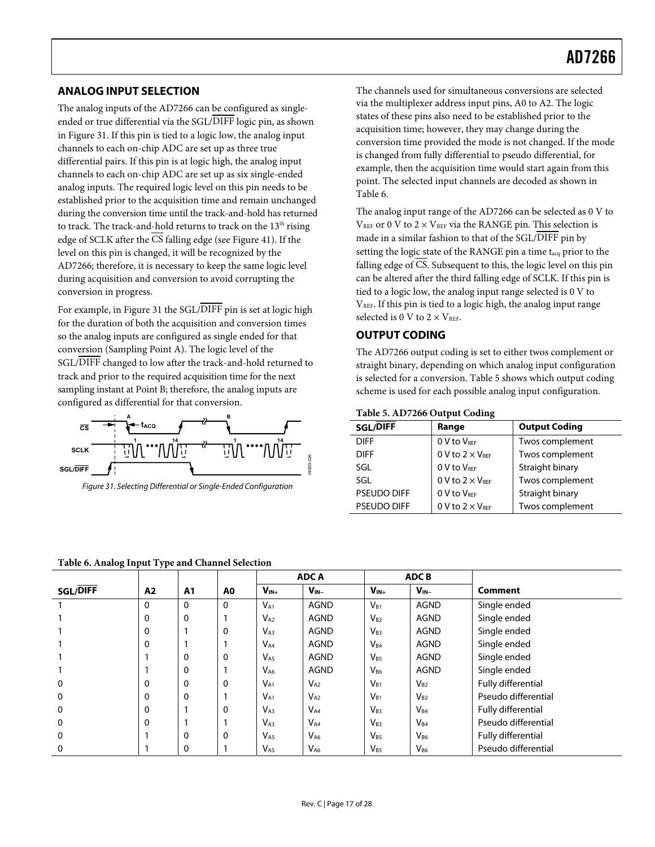#### <span id="page-16-1"></span><span id="page-16-0"></span>**ANALOG INPUT SELECTION**

The analog inputs of the AD7266 can be configured as singleended or true differential via the SGL/DIFF logic pin, as shown in [Figure 31](#page-16-2). If this pin is tied to a logic low, the analog input channels to each on-chip ADC are set up as three true differential pairs. If this pin is at logic high, the analog input channels to each on-chip ADC are set up as six single-ended analog inputs. The required logic level on this pin needs to be established prior to the acquisition time and remain unchanged during the conversion time until the track-and-hold has returned to track. The track-and-hold returns to track on the  $13<sup>th</sup>$  rising edge of SCLK after the CS falling edge (see [Figure 41](#page-21-3)). If the level on this pin is changed, it will be recognized by the AD7266; therefore, it is necessary to keep the same logic level during acquisition and conversion to avoid corrupting the conversion in progress.

For example, in [Figure 31](#page-16-2) the SGL/DIFF pin is set at logic high for the duration of both the acquisition and conversion times so the analog inputs are configured as single ended for that conversion (Sampling Point A). The logic level of the SGL/DIFF changed to low after the track-and-hold returned to track and prior to the required acquisition time for the next sampling instant at Point B; therefore, the analog inputs are configured as differential for that conversion.



<span id="page-16-2"></span>Figure 31. Selecting Differential or Single-Ended Configuration

The channels used for simultaneous conversions are selected via the multiplexer address input pins, A0 to A2. The logic states of these pins also need to be established prior to the acquisition time; however, they may change during the conversion time provided the mode is not changed. If the mode is changed from fully differential to pseudo differential, for example, then the acquisition time would start again from this point. The selected input channels are decoded as shown in Table 6.

The analog input range of the AD7266 can be selected as 0 V to  $V<sub>REF</sub>$  or 0 V to 2  $\times$  V<sub>REF</sub> via the RANGE pin. This selection is made in a similar fashion to that of the SGL/DIFF pin by setting the logic state of the RANGE pin a time t<sub>acq</sub> prior to the falling edge of  $\overline{CS}$ . Subsequent to this, the logic level on this pin can be altered after the third falling edge of SCLK. If this pin is tied to a logic low, the analog input range selected is 0 V to  $V<sub>REF</sub>$ . If this pin is tied to a logic high, the analog input range selected is 0 V to  $2 \times V_{REF}$ .

### **OUTPUT CODING**

The AD7266 output coding is set to either twos complement or straight binary, depending on which analog input configuration is selected for a conversion. Table 5 shows which output coding scheme is used for each possible analog input configuration.

#### **Table 5. AD7266 Output Coding**

| SGL/DIFF           | Range                     | <b>Output Coding</b> |
|--------------------|---------------------------|----------------------|
| <b>DIFF</b>        | 0 V to VREF               | Twos complement      |
| <b>DIFF</b>        | 0 V to $2 \times V_{REF}$ | Twos complement      |
| SGL                | 0 V to VREE               | Straight binary      |
| SGL                | 0 V to $2 \times V_{REF}$ | Twos complement      |
| <b>PSEUDO DIFF</b> | 0 V to VREE               | Straight binary      |
| <b>PSEUDO DIFF</b> | 0 V to $2 \times V_{REF}$ | Twos complement      |

| Table 6. Analog Input Type and Channel Selection |  |
|--------------------------------------------------|--|
|--------------------------------------------------|--|

|                 |                |                |                | <b>ADCA</b><br><b>ADCB</b> |             |           |             |                     |
|-----------------|----------------|----------------|----------------|----------------------------|-------------|-----------|-------------|---------------------|
| <b>SGL/DIFF</b> | A <sub>2</sub> | A <sub>1</sub> | A <sub>0</sub> | $V_{IN+}$                  | $V_{IN-}$   | $V_{IN+}$ | $V_{IN-}$   | Comment             |
|                 | $\mathbf{0}$   | $\Omega$       | $\Omega$       | $V_{A1}$                   | <b>AGND</b> | $V_{B1}$  | <b>AGND</b> | Single ended        |
|                 | $\mathbf 0$    | $\Omega$       |                | $V_{A2}$                   | <b>AGND</b> | $V_{B2}$  | <b>AGND</b> | Single ended        |
|                 | $\Omega$       |                | 0              | $V_{A3}$                   | <b>AGND</b> | $V_{B3}$  | <b>AGND</b> | Single ended        |
|                 | $\mathbf 0$    |                |                | $V_{A4}$                   | <b>AGND</b> | $V_{B4}$  | <b>AGND</b> | Single ended        |
|                 |                | 0              | 0              | $V_{A5}$                   | <b>AGND</b> | $V_{B5}$  | <b>AGND</b> | Single ended        |
|                 |                | 0              |                | $V_{A6}$                   | <b>AGND</b> | $V_{B6}$  | <b>AGND</b> | Single ended        |
| 0               | $\mathbf 0$    | 0              | 0              | $V_{A1}$                   | $V_{A2}$    | $V_{B1}$  | $V_{B2}$    | Fully differential  |
| 0               | $\mathbf 0$    | $\Omega$       |                | $V_{A1}$                   | $V_{A2}$    | $V_{B1}$  | $V_{B2}$    | Pseudo differential |
| 0               | $\Omega$       |                | 0              | $V_{A3}$                   | $V_{A4}$    | $V_{B3}$  | $V_{B4}$    | Fully differential  |
| 0               | $\mathbf 0$    |                |                | $V_{A3}$                   | $V_{A4}$    | $V_{B3}$  | $V_{B4}$    | Pseudo differential |
| 0               |                | 0              | 0              | $V_{A5}$                   | $V_{A6}$    | $V_{B5}$  | $V_{B6}$    | Fully differential  |
| 0               |                | 0              |                | $V_{A5}$                   | $V_{A6}$    | $V_{B5}$  | $V_{B6}$    | Pseudo differential |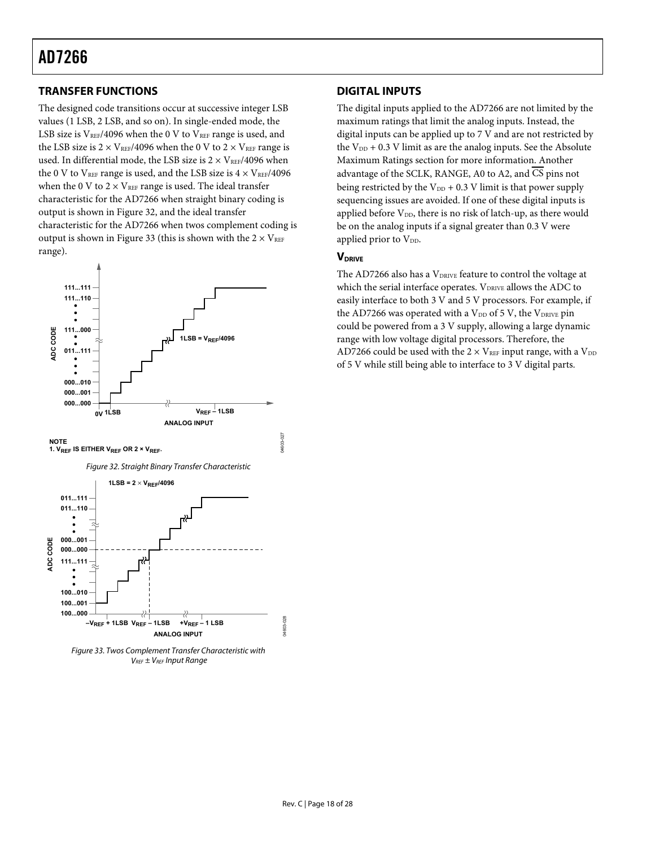### <span id="page-17-1"></span><span id="page-17-0"></span>**TRANSFER FUNCTIONS**

The designed code transitions occur at successive integer LSB values (1 LSB, 2 LSB, and so on). In single-ended mode, the LSB size is  $V_{REF}/4096$  when the 0 V to  $V_{REF}$  range is used, and the LSB size is  $2 \times V_{REF}/4096$  when the 0 V to  $2 \times V_{REF}$  range is used. In differential mode, the LSB size is  $2 \times V_{REF}/4096$  when the 0 V to VREF range is used, and the LSB size is  $4 \times V_{REF}/4096$ when the 0 V to  $2 \times V_{REF}$  range is used. The ideal transfer characteristic for the AD7266 when straight binary coding is ou[tput is sho](#page-17-2)wn in Figure 32, and the ideal transfer characteristic for the AD7266 when twos complement coding is [output is](#page-17-3) shown in Figure 33 (this is shown with the  $2 \times V_{REF}$ range).

<span id="page-17-2"></span>

<span id="page-17-3"></span>Figure 33. Twos Complement Transfer Characteristic with  $V_{REF}$  ±  $V_{REF}$  Input Range

#### **DIGITAL INPUTS**

The digital inputs applied to the AD7266 are not limited by the maximum ratings that limit the analog inputs. Instead, the digital inputs can be applied up to 7 V and are not restricted by the  $V_{DD}$  + 0.3 V limit as are the analog inputs. See the Absolute [Maximum Ratings](#page-5-3) section for more information. Another advantage of the SCLK, RANGE, A0 to A2, and CS pins not being restricted by the  $V_{DD}$  + 0.3 V limit is that power supply sequencing issues are avoided. If one of these digital inputs is applied before  $V_{DD}$ , there is no risk of latch-up, as there would be on the analog inputs if a signal greater than 0.3 V were applied prior to V<sub>DD</sub>.

#### **VDRIVE**

The AD7266 also has a V<sub>DRIVE</sub> feature to control the voltage at which the serial interface operates. VDRIVE allows the ADC to easily interface to both 3 V and 5 V processors. For example, if the AD7266 was operated with a  $V_{DD}$  of 5 V, the  $V_{DRIVE}$  pin could be powered from a 3 V supply, allowing a large dynamic range with low voltage digital processors. Therefore, the AD7266 could be used with the  $2 \times V_{REF}$  input range, with a  $V_{DD}$ of 5 V while still being able to interface to 3 V digital parts.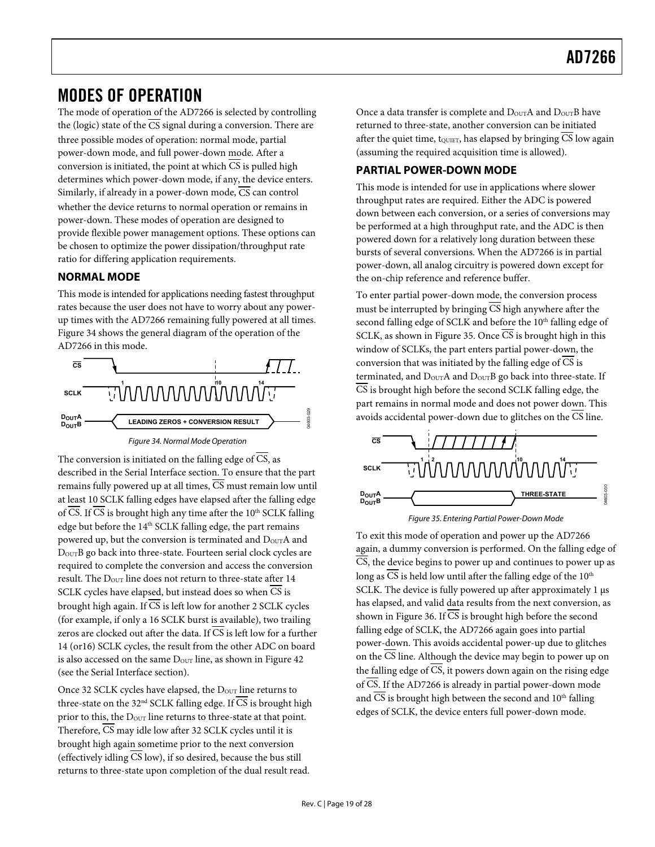### <span id="page-18-2"></span><span id="page-18-1"></span><span id="page-18-0"></span>MODES OF OPERATION

The mode of operation of the AD7266 is selected by controlling the (logic) state of the  $\overline{CS}$  signal during a conversion. There are three possible modes of operation: normal mode, partial power-down mode, and full power-down mode. After a conversion is initiated, the point at which  $\overline{CS}$  is pulled high determines which power-down mode, if any, the device enters. Similarly, if already in a power-down mode,  $\overline{CS}$  can control whether the device returns to normal operation or remains in power-down. These modes of operation are designed to provide flexible power management options. These options can be chosen to optimize the power dissipation/throughput rate ratio for differing application requirements.

#### **NORMAL MODE**

This mode is intended for applications needing fastest throughput rates because the user does not have to worry about any powerup times with the AD7266 remaining fully powered at all times. [Figure 34](#page-18-3) shows the general diagram of the operation of the AD7266 in this mode.



Figure 34. Normal Mode Operation

<span id="page-18-4"></span><span id="page-18-3"></span>The conversion is initiated on the falling edge of  $\overline{CS}$ , as described in the [Serial Interface](#page-21-2) section. To ensure that the part remains fully powered up at all times,  $\overline{CS}$  must remain low until at least 10 SCLK falling edges have elapsed after the falling edge of CS. If CS is brought high any time after the  $10^{th}$  SCLK falling edge but before the 14<sup>th</sup> SCLK falling edge, the part remains powered up, but the conversion is terminated and D<sub>OUT</sub>A and DOUTB go back into three-state. Fourteen serial clock cycles are required to complete the conversion and access the conversion result. The  $D_{\text{OUT}}$  line does not return to three-state after 14 SCLK cycles have elapsed, but instead does so when CS is brought high again. If  $\overline{CS}$  is left low for another 2 SCLK cycles (for example, if only a 16 SCLK burst is available), two trailing zeros are clocked out after the data. If  $\overline{CS}$  is left low for a further 14 (or16) SCLK cycles, the result from the other ADC on board is also accessed on the same  $D_{\text{OUT}}$  line, as shown in [Figure 42](#page-21-4) (see the [Serial Interface](#page-21-2) section).

Once 32 SCLK cycles have elapsed, the Dour line returns to three-state on the 32<sup>nd</sup> SCLK falling edge. If  $\overline{CS}$  is brought high prior to this, the D<sub>OUT</sub> line returns to three-state at that point. Therefore,  $\overline{CS}$  may idle low after 32 SCLK cycles until it is brought high again sometime prior to the next conversion (effectively idling CS low), if so desired, because the bus still returns to three-state upon completion of the dual result read.

Once a data transfer is complete and  $\rm{D_{OUT}}A$  and  $\rm{D_{OUT}}B$  have returned to three-state, another conversion can be initiated after the quiet time,  $t_{\text{OUIET}}$ , has elapsed by bringing CS low again (assuming the required acquisition time is allowed).

### **PARTIAL POWER-DOWN MODE**

This mode is intended for use in applications where slower throughput rates are required. Either the ADC is powered down between each conversion, or a series of conversions may be performed at a high throughput rate, and the ADC is then powered down for a relatively long duration between these bursts of several conversions. When the AD7266 is in partial power-down, all analog circuitry is powered down except for the on-chip reference and reference buffer.

To enter partial power-down mode, the conversion process must be interrupted by bringing  $\overline{CS}$  high anywhere after the second falling edge of SCLK and before the 10<sup>th</sup> falling edge of SCLK, as shown in [Figure 35](#page-18-4). Once  $\overline{\text{CS}}$  is brought high in this window of SCLKs, the part enters partial power-down, the conversion that was initiated by the falling edge of CS is terminated, and  $D_{\text{OUT}}A$  and  $D_{\text{OUT}}B$  go back into three-state. If  $\overline{CS}$  is brought high before the second SCLK falling edge, the part remains in normal mode and does not power down. This avoids accidental power-down due to glitches on the  $\overline{\text{CS}}$  line.





To exit this mode of operation and power up the AD7266 again, a dummy conversion is performed. On the falling edge of  $\overline{CS}$ , the device begins to power up and continues to power up as long as  $\overline{CS}$  is held low until after the falling edge of the 10<sup>th</sup> SCLK. The device is fully powered up after approximately 1 μs has elapsed, and valid data results from the next conversion, as shown in [Figure 36](#page-19-1). If  $\overline{\text{CS}}$  is brought high before the second falling edge of SCLK, the AD7266 again goes into partial power-down. This avoids accidental power-up due to glitches on the  $\overline{CS}$  line. Although the device may begin to power up on the falling edge of  $\overline{CS}$ , it powers down again on the rising edge of CS. If the AD7266 is already in partial power-down mode and  $\overline{\text{CS}}$  is brought high between the second and  $10^{\text{th}}$  falling edges of SCLK, the device enters full power-down mode.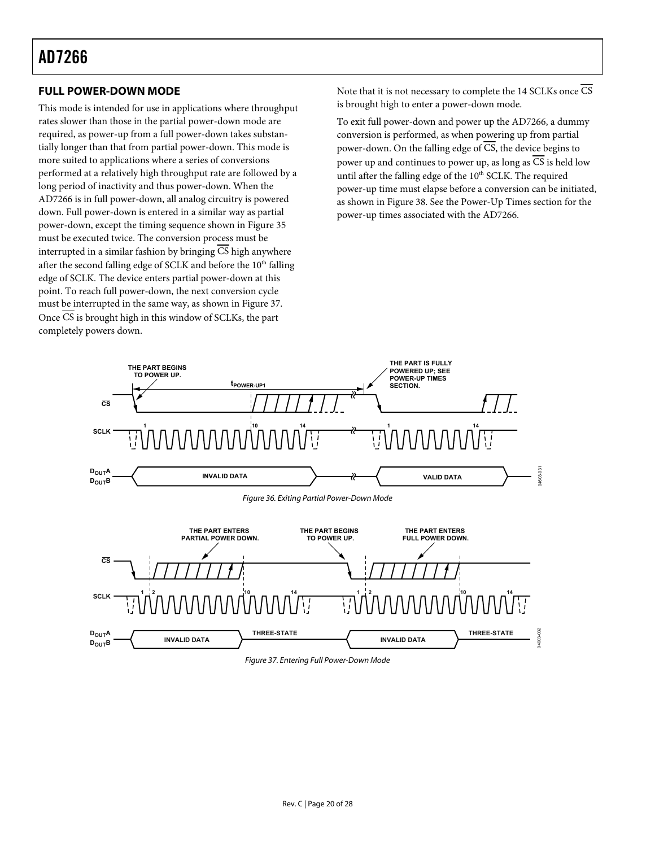### <span id="page-19-0"></span>**FULL POWER-DOWN MODE**

This mode is intended for use in applications where throughput rates slower than those in the partial power-down mode are required, as power-up from a full power-down takes substantially longer than that from partial power-down. This mode is more suited to applications where a series of conversions performed at a relatively high throughput rate are followed by a long period of inactivity and thus power-down. When the AD7266 is in full power-down, all analog circuitry is powered down. Full power-down is entered in a similar way as partial power-down, except the timing sequence shown in [Figure 35](#page-18-4) must be executed twice. The conversion process must be interrupted in a similar fashion by bringing CS high anywhere after the second falling edge of SCLK and before the 10<sup>th</sup> falling edge of SCLK. The device enters partial power-down at this point. To reach full power-down, the next conversion cycle must be interrupted in the same way, as shown in [Figure 37](#page-19-2). Once CS is brought high in this window of SCLKs, the part completely powers down.

Note that it is not necessary to complete the 14 SCLKs once CS is brought high to enter a power-down mode.

To exit full power-down and power up the AD7266, a dummy conversion is performed, as when powering up from partial power-down. On the falling edge of  $\overline{CS}$ , the device begins to power up and continues to power up, as long as CS is held low until after the falling edge of the  $10<sup>th</sup>$  SCLK. The required power-up time must elapse before a conversion can be initiated, as shown in [Figure 38](#page-20-1). See th[e Power-Up Times](#page-20-0) section for the power-up times associated with the AD7266.

<span id="page-19-1"></span>

<span id="page-19-2"></span>Figure 37. Entering Full Power-Down Mode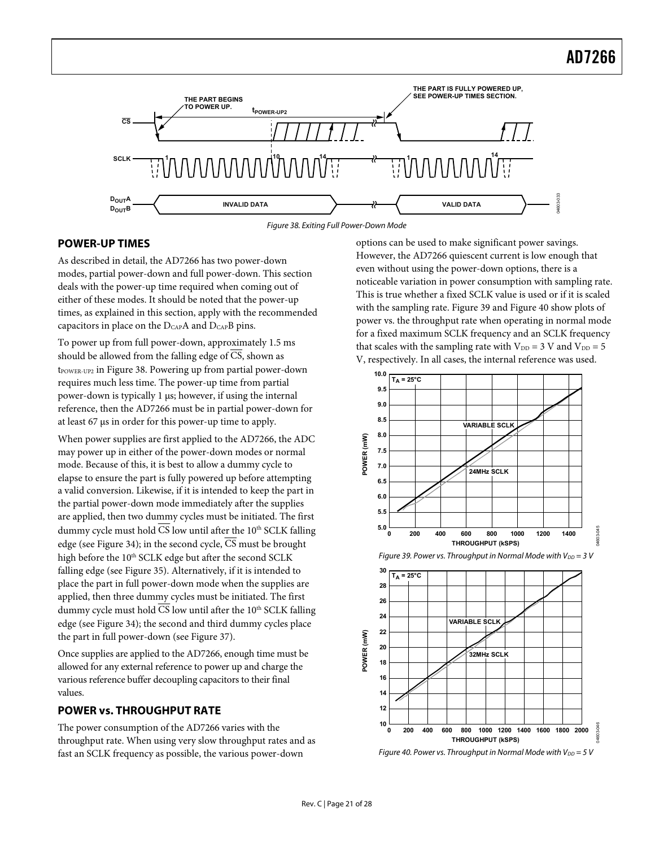<span id="page-20-0"></span>

Figure 38. Exiting Full Power-Down Mode

#### <span id="page-20-1"></span>**POWER-UP TIMES**

As described in detail, the AD7266 has two power-down modes, partial power-down and full power-down. This section deals with the power-up time required when coming out of either of these modes. It should be noted that the power-up times, as explained in this section, apply with the recommended capacitors in place on the DCAPA and DCAPB pins.

To power up from full power-down, approximately 1.5 ms should be allowed from the falling edge of CS, shown as  $t_{\text{Power-UP2}}$  in [Figure 38](#page-20-1). Powering up from partial power-down requires much less time. The power-up time from partial power-down is typically 1 μs; however, if using the internal reference, then the AD7266 must be in partial power-down for at least 67 μs in order for this power-up time to apply.

<span id="page-20-2"></span>When power supplies are first applied to the AD7266, the ADC may power up in either of the power-down modes or normal mode. Because of this, it is best to allow a dummy cycle to elapse to ensure the part is fully powered up before attempting a valid conversion. Likewise, if it is intended to keep the part in the partial power-down mode immediately after the supplies are applied, then two dummy cycles must be initiated. The first dummy cycle must hold  $\overline{\text{CS}}$  low until after the 10<sup>th</sup> SCLK falling edge (see [Figure 34](#page-18-3)); in the second cycle,  $\overline{CS}$  must be brought high before the 10<sup>th</sup> SCLK edge but after the second SCLK falling edge (see [Figure 35](#page-18-4)). Alternatively, if it is intended to place the part in full power-down mode when the supplies are applied, then three dummy cycles must be initiated. The first dummy cycle must hold CS low until after the 10<sup>th</sup> SCLK falling edge (see [Figure 34](#page-18-3)); the second and third dummy cycles place the part in full power-down (see [Figure 37](#page-19-2)).

Once supplies are applied to the AD7266, enough time must be allowed for any external reference to power up and charge the various reference buffer decoupling capacitors to their final values.

#### **POWER vs. THROUGHPUT RATE**

<span id="page-20-3"></span>The power consumption of the AD7266 varies with the throughput rate. When using very slow throughput rates and as fast an SCLK frequency as possible, the various power-down

options can be used to make significant power savings. However, the AD7266 quiescent current is low enough that even without using the power-down options, there is a noticeable variation in power consumption with sampling rate. This is true whether a fixed SCLK value is used or if it is scaled with the sampling rate. [Figure 39](#page-20-2) and [Figure 40](#page-20-3) show plots of power vs. the throughput rate when operating in normal mode for a fixed maximum SCLK frequency and an SCLK frequency that scales with the sampling rate with  $V_{DD} = 3$  V and  $V_{DD} = 5$ V, respectively. In all cases, the internal reference was used.







Figure 40. Power vs. Throughput in Normal Mode with  $V_{DD} = 5$  V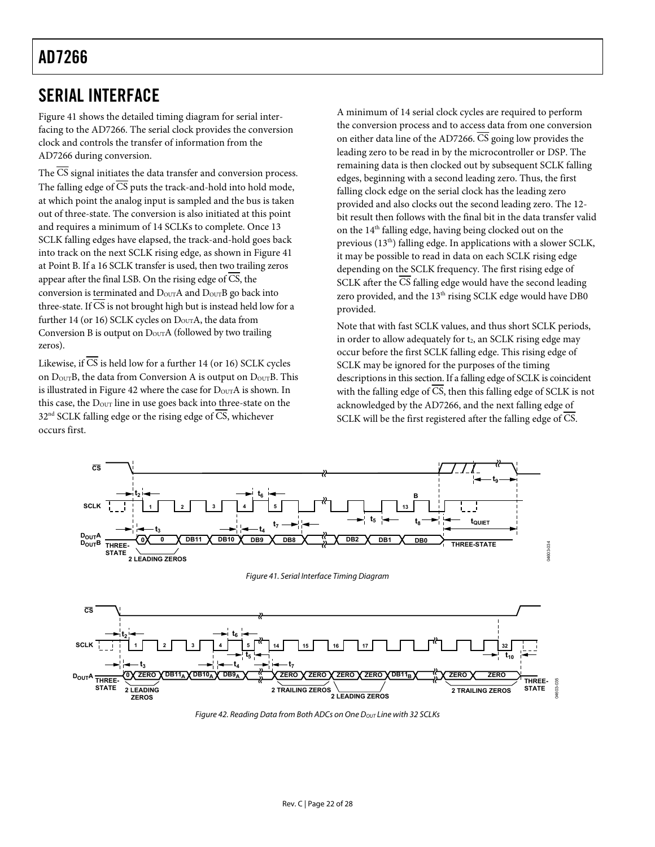### <span id="page-21-2"></span><span id="page-21-1"></span><span id="page-21-0"></span>SERIAL INTERFACE

[Figure 41](#page-21-3) shows the detailed timing diagram for serial interfacing to the AD7266. The serial clock provides the conversion clock and controls the transfer of information from the AD7266 during conversion.

The  $\overline{\text{CS}}$  signal initiates the data transfer and conversion process. The falling edge of CS puts the track-and-hold into hold mode, at which point the analog input is sampled and the bus is taken out of three-state. The conversion is also initiated at this point and requires a minimum of 14 SCLKs to complete. Once 13 SCLK falling edges have elapsed, the track-and-hold goes back into track on the next SCLK rising edge, as shown in [Figure 41](#page-21-3) at Point B. If a 16 SCLK transfer is used, then two trailing zeros appear after the final LSB. On the rising edge of CS, the conversion is terminated and D<sub>OUT</sub>A and D<sub>OUT</sub>B go back into three-state. If  $\overline{\text{CS}}$  is not brought high but is instead held low for a further 14 (or 16) SCLK cycles on  $D_{\text{OUT}}A$ , the data from Conversion B is output on  $D_{\text{OUT}}$  A (followed by two trailing zeros).

Likewise, if  $\overline{\text{CS}}$  is held low for a further 14 (or 16) SCLK cycles on D<sub>OUT</sub>B, the [data from](#page-21-4) Conversion A is output on D<sub>OUT</sub>B. This is illustrated in Figure 42 where the case for  $D_{\text{OUT}}A$  is shown. In this case, the  $D_{\text{OUT}}$  line in use goes back into three-state on the  $32<sup>nd</sup>$  SCLK falling edge or the rising edge of  $\overline{CS}$ , whichever occurs first.

A minimum of 14 serial clock cycles are required to perform the conversion process and to access data from one conversion on either data line of the AD7266. CS going low provides the leading zero to be read in by the microcontroller or DSP. The remaining data is then clocked out by subsequent SCLK falling edges, beginning with a second leading zero. Thus, the first falling clock edge on the serial clock has the leading zero provided and also clocks out the second leading zero. The 12 bit result then follows with the final bit in the data transfer valid on the 14<sup>th</sup> falling edge, having being clocked out on the previous  $(13<sup>th</sup>)$  falling edge. In applications with a slower SCLK, it may be possible to read in data on each SCLK rising edge depending on the SCLK frequency. The first rising edge of SCLK after the  $\overline{\text{CS}}$  falling edge would have the second leading zero provided, and the 13<sup>th</sup> rising SCLK edge would have DB0 provided.

Note that with fast SCLK values, and thus short SCLK periods, in order to allow adequately for t<sub>2</sub>, an SCLK rising edge may occur before the first SCLK falling edge. This rising edge of SCLK may be ignored for the purposes of the timing descriptions in this section. If a falling edge of SCLK is coincident with the falling edge of  $\overline{CS}$ , then this falling edge of SCLK is not acknowledged by the AD7266, and the next falling edge of SCLK will be the first registered after the falling edge of  $\overline{\text{CS}}$ .

<span id="page-21-3"></span>

<span id="page-21-4"></span>Figure 42. Reading Data from Both ADCs on One  $D_{OUT}$  Line with 32 SCLKs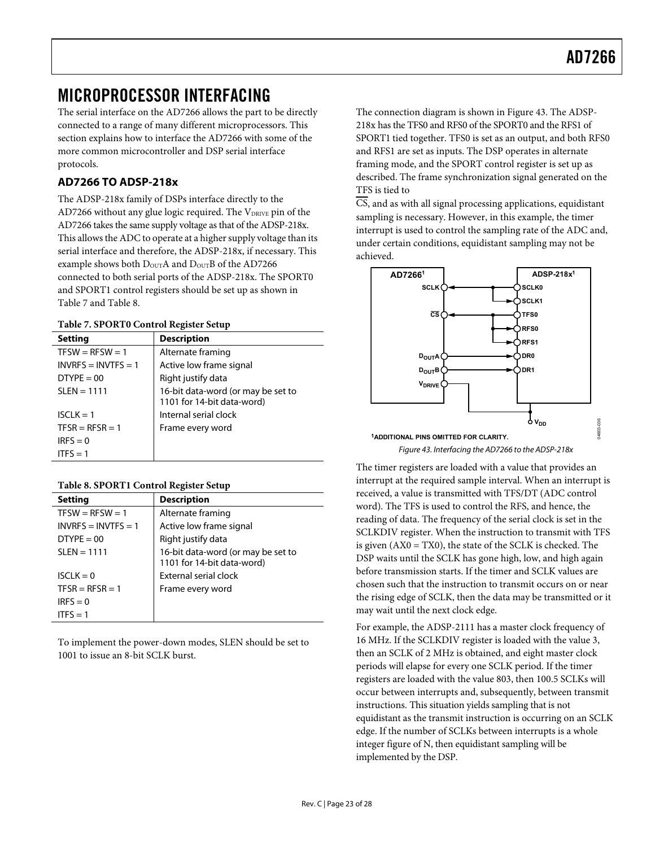### <span id="page-22-1"></span><span id="page-22-0"></span>MICROPROCESSOR INTERFACING

The serial interface on the AD7266 allows the part to be directly connected to a range of many different microprocessors. This section explains how to interface the AD7266 with some of the more common microcontroller and DSP serial interface protocols.

### **AD7266 TO ADSP-218x**

The ADSP-218x family of DSPs interface directly to the AD7266 without any glue logic required. The V<sub>DRIVE</sub> pin of the AD7266 takes the same supply voltage as that of the ADSP-218x. This allows the ADC to operate at a higher supply voltage than its serial interface and therefore, the ADSP-218x, if necessary. This example shows both  $D_{\text{OUT}}A$  and  $D_{\text{OUT}}B$  of the AD7266 connected to both serial ports of the ADSP-218x. The SPORT0 and SPORT1 control registers should be set up as shown in Table 7 and [Table 8.](#page-22-2) 

#### **Table 7. SPORT0 Control Register Setup**

| <b>Setting</b>        | <b>Description</b>                                               |  |  |  |
|-----------------------|------------------------------------------------------------------|--|--|--|
| $TFSW = RFSW = 1$     | Alternate framing                                                |  |  |  |
| $INVRES = INVTFS = 1$ | Active low frame signal                                          |  |  |  |
| $DTYPE = 00$          | Right justify data                                               |  |  |  |
| $SLEN = 1111$         | 16-bit data-word (or may be set to<br>1101 for 14-bit data-word) |  |  |  |
| $ISCLK = 1$           | Internal serial clock                                            |  |  |  |
| $TFSR = RFSR = 1$     | Frame every word                                                 |  |  |  |
| $IRFS = 0$            |                                                                  |  |  |  |
| ITES = $1$            |                                                                  |  |  |  |

<span id="page-22-3"></span>

<span id="page-22-2"></span>

| <b>Setting</b>        | <b>Description</b>                 |
|-----------------------|------------------------------------|
| $TFSW = RFSW = 1$     | Alternate framing                  |
| $INVRES = INVTFS = 1$ | Active low frame signal            |
| $DTYPE = 00$          | Right justify data                 |
| $SLEN = 1111$         | 16-bit data-word (or may be set to |
|                       | 1101 for 14-bit data-word)         |
| $ISCLK = 0$           | External serial clock              |
| $TFSR = RFSR = 1$     | Frame every word                   |
| $IRFS = 0$            |                                    |
| ITES = $1$            |                                    |

To implement the power-down modes, SLEN should be set to 1001 to issue an 8-bit SCLK burst.

The connection diagram is shown in [Figure 43](#page-22-3). The ADSP-218x has the TFS0 and RFS0 of the SPORT0 and the RFS1 of SPORT1 tied together. TFS0 is set as an output, and both RFS0 and RFS1 are set as inputs. The DSP operates in alternate framing mode, and the SPORT control register is set up as described. The frame synchronization signal generated on the TFS is tied to

 $\overline{CS}$ , and as with all signal processing applications, equidistant sampling is necessary. However, in this example, the timer interrupt is used to control the sampling rate of the ADC and, under certain conditions, equidistant sampling may not be achieved.



Figure 43. Interfacing the AD7266 to the ADSP-218x

The timer registers are loaded with a value that provides an interrupt at the required sample interval. When an interrupt is received, a value is transmitted with TFS/DT (ADC control word). The TFS is used to control the RFS, and hence, the reading of data. The frequency of the serial clock is set in the SCLKDIV register. When the instruction to transmit with TFS is given (AX0 = TX0), the state of the SCLK is checked. The DSP waits until the SCLK has gone high, low, and high again before transmission starts. If the timer and SCLK values are chosen such that the instruction to transmit occurs on or near the rising edge of SCLK, then the data may be transmitted or it may wait until the next clock edge.

For example, the ADSP-2111 has a master clock frequency of 16 MHz. If the SCLKDIV register is loaded with the value 3, then an SCLK of 2 MHz is obtained, and eight master clock periods will elapse for every one SCLK period. If the timer registers are loaded with the value 803, then 100.5 SCLKs will occur between interrupts and, subsequently, between transmit instructions. This situation yields sampling that is not equidistant as the transmit instruction is occurring on an SCLK edge. If the number of SCLKs between interrupts is a whole integer figure of N, then equidistant sampling will be implemented by the DSP.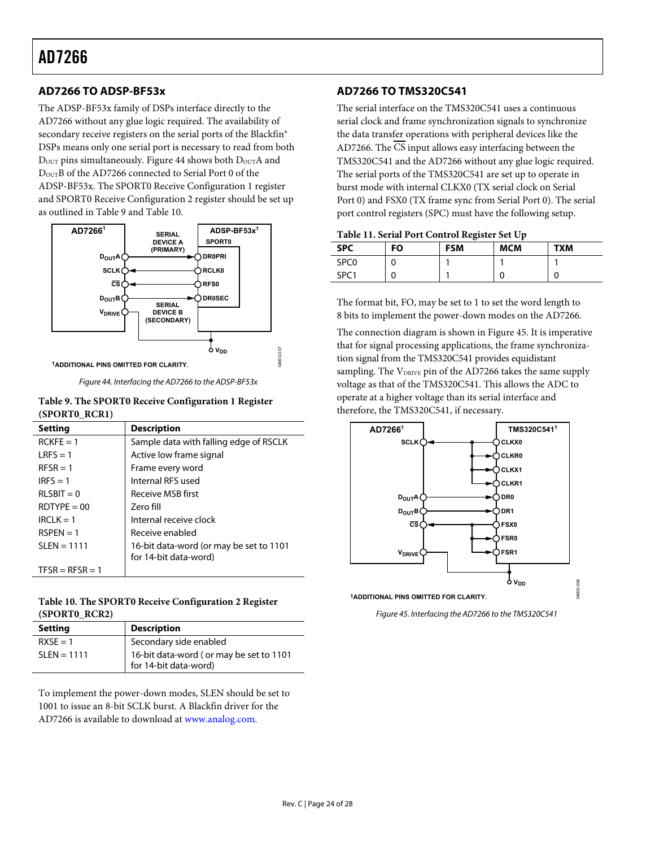### <span id="page-23-0"></span>**AD7266 TO ADSP-BF53x**

The ADSP-BF53x family of DSPs interface directly to the AD7266 without any glue logic required. The availability of secondary receive registers on the serial ports of the Blackfin® DSPs means only one serial port is necessary to read from both  $D_{\text{OUT}}$  pins simultaneously. [Figure 44](#page-23-1) shows both  $D_{\text{OUT}}A$  and DOUTB of the AD7266 connected to Serial Port 0 of the ADSP-BF53x. The SPORT0 Receive Configuration 1 register and SPORT0 Receive Configuration 2 register should be set up as outlined in Table 9 and [Table 10](#page-23-2).



Figure 44. Interfacing the AD7266 to the ADSP-BF53x

<span id="page-23-1"></span>

| Table 9. The SPORT0 Receive Configuration 1 Register |
|------------------------------------------------------|
| (SPORTO RCR1)                                        |

| <b>Setting</b>    | <b>Description</b>                                               |
|-------------------|------------------------------------------------------------------|
| $RCKF = 1$        | Sample data with falling edge of RSCLK                           |
| $IRFS = 1$        | Active low frame signal                                          |
| $RFSR = 1$        | Frame every word                                                 |
| $IRFS = 1$        | Internal RFS used                                                |
| $RLSBIT = 0$      | Receive MSB first                                                |
| $ROTYPE = 00$     | Zero fill                                                        |
| $IRCI K = 1$      | Internal receive clock                                           |
| $RSPFN = 1$       | Receive enabled                                                  |
| $SLEN = 1111$     | 16-bit data-word (or may be set to 1101<br>for 14-bit data-word) |
| $TFSR = RFSR = 1$ |                                                                  |

#### <span id="page-23-2"></span>**Table 10. The SPORT0 Receive Configuration 2 Register (SPORT0\_RCR2)**

<span id="page-23-3"></span>

| <b>Setting</b> | <b>Description</b>                                               |
|----------------|------------------------------------------------------------------|
| $RXSE = 1$     | Secondary side enabled                                           |
| $SLEN = 1111$  | 16-bit data-word (or may be set to 1101<br>for 14-bit data-word) |

To implement the power-down modes, SLEN should be set to 1001 to issue an 8-bit SCLK burst. A Blackfin driver for the AD7266 is available to download at [www.analog.com](http://www.analog.com/).

#### **AD7266 TO TMS320C541**

The serial interface on the TMS320C541 uses a continuous serial clock and frame synchronization signals to synchronize the data transfer operations with peripheral devices like the AD7266. The  $\overline{\text{CS}}$  input allows easy interfacing between the TMS320C541 and the AD7266 without any glue logic required. The serial ports of the TMS320C541 are set up to operate in burst mode with internal CLKX0 (TX serial clock on Serial Port 0) and FSX0 (TX frame sync from Serial Port 0). The serial port control registers (SPC) must have the following setup.

|                  |    | $\cdot$    |            |            |
|------------------|----|------------|------------|------------|
| <b>SPC</b>       | FO | <b>FSM</b> | <b>MCM</b> | <b>TXM</b> |
| SPC <sub>0</sub> |    |            |            |            |
| SPC <sub>1</sub> |    |            |            | U          |

The format bit, FO, may be set to 1 to set the word length to 8 bits to implement the power-down modes on the AD7266.

The connection diagram is shown in [Figure 45](#page-23-3). It is imperative that for signal processing applications, the frame synchronization signal from the TMS320C541 provides equidistant sampling. The V<sub>DRIVE</sub> pin of the AD7266 takes the same supply voltage as that of the TMS320C541. This allows the ADC to operate at a higher voltage than its serial interface and therefore, the TMS320C541, if necessary.



**1ADDITIONAL PINS OMITTED FOR CLARITY.**

Figure 45. Interfacing the AD7266 to the TMS320C541

04603-038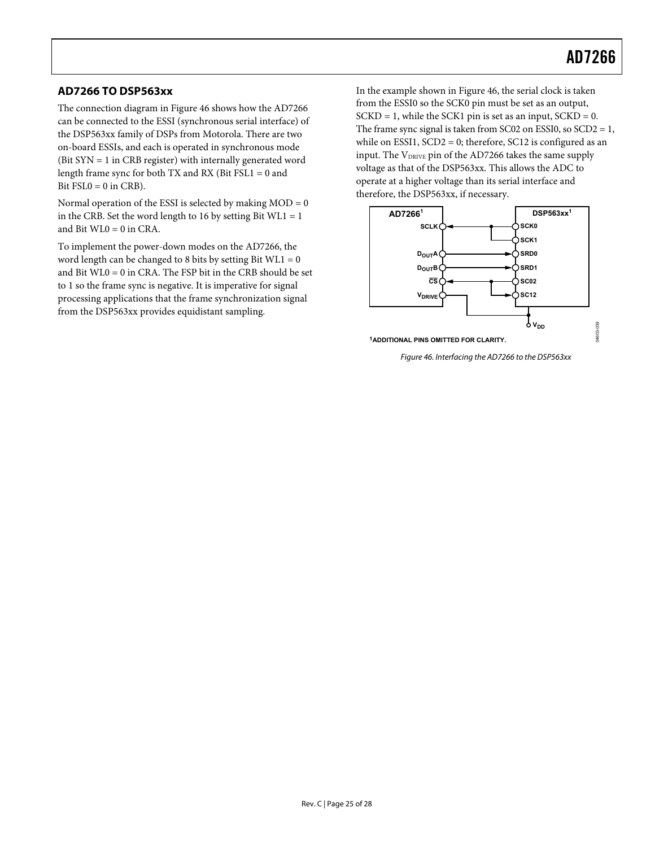#### <span id="page-24-0"></span>**AD7266 TO DSP563xx**

The connection diagram in [Figure 46](#page-24-1) shows how the AD7266 can be connected to the ESSI (synchronous serial interface) of the DSP563xx family of DSPs from Motorola. There are two on-board ESSIs, and each is operated in synchronous mode (Bit SYN = 1 in CRB register) with internally generated word length frame sync for both TX and RX (Bit FSL1 = 0 and Bit  $FSL0 = 0$  in CRB).

Normal operation of the ESSI is selected by making  $MOD = 0$ in the CRB. Set the word length to 16 by setting Bit  $WL1 = 1$ and Bit WL0 = 0 in CRA.

<span id="page-24-1"></span>To implement the power-down modes on the AD7266, the word length can be changed to 8 bits by setting Bit  $WL1 = 0$ and Bit WL0 = 0 in CRA. The FSP bit in the CRB should be set to 1 so the frame sync is negative. It is imperative for signal processing applications that the frame synchronization signal from the DSP563xx provides equidistant sampling.

In the example shown in [Figure 46](#page-24-1), the serial clock is taken from the ESSI0 so the SCK0 pin must be set as an output,  $SCKD = 1$ , while the SCK1 pin is set as an input,  $SCKD = 0$ . The frame sync signal is taken from SC02 on ESSI0, so  $SCD2 = 1$ , while on ESSI1, SCD2 = 0; therefore, SC12 is configured as an input. The V<sub>DRIVE</sub> pin of the AD7266 takes the same supply voltage as that of the DSP563xx. This allows the ADC to operate at a higher voltage than its serial interface and therefore, the DSP563xx, if necessary.



Figure 46. Interfacing the AD7266 to the DSP563xx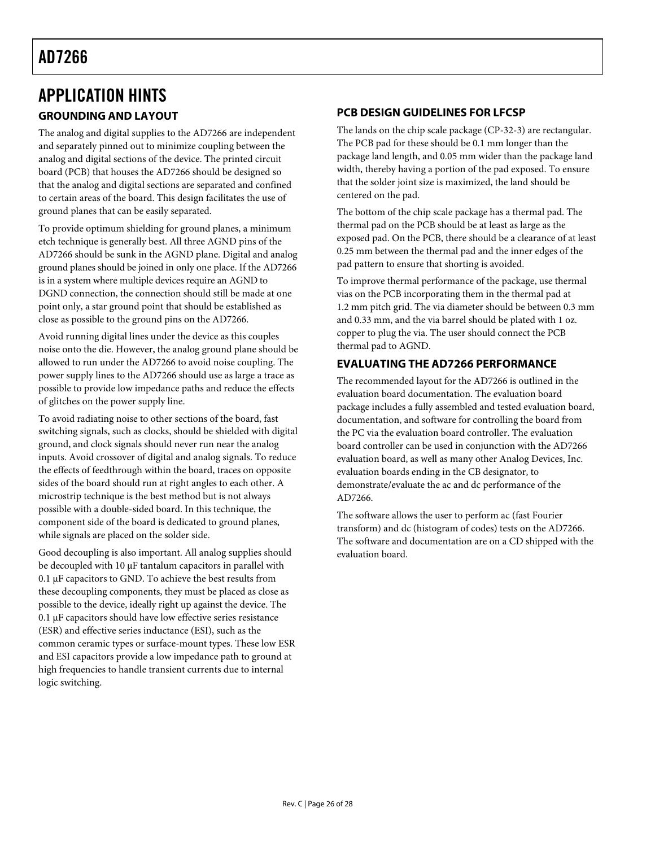# <span id="page-25-1"></span><span id="page-25-0"></span>APPLICATION HINTS

### **GROUNDING AND LAYOUT**

The analog and digital supplies to the AD7266 are independent and separately pinned out to minimize coupling between the analog and digital sections of the device. The printed circuit board (PCB) that houses the AD7266 should be designed so that the analog and digital sections are separated and confined to certain areas of the board. This design facilitates the use of ground planes that can be easily separated.

To provide optimum shielding for ground planes, a minimum etch technique is generally best. All three AGND pins of the AD7266 should be sunk in the AGND plane. Digital and analog ground planes should be joined in only one place. If the AD7266 is in a system where multiple devices require an AGND to DGND connection, the connection should still be made at one point only, a star ground point that should be established as close as possible to the ground pins on the AD7266.

Avoid running digital lines under the device as this couples noise onto the die. However, the analog ground plane should be allowed to run under the AD7266 to avoid noise coupling. The power supply lines to the AD7266 should use as large a trace as possible to provide low impedance paths and reduce the effects of glitches on the power supply line.

To avoid radiating noise to other sections of the board, fast switching signals, such as clocks, should be shielded with digital ground, and clock signals should never run near the analog inputs. Avoid crossover of digital and analog signals. To reduce the effects of feedthrough within the board, traces on opposite sides of the board should run at right angles to each other. A microstrip technique is the best method but is not always possible with a double-sided board. In this technique, the component side of the board is dedicated to ground planes, while signals are placed on the solder side.

Good decoupling is also important. All analog supplies should be decoupled with 10 μF tantalum capacitors in parallel with 0.1 μF capacitors to GND. To achieve the best results from these decoupling components, they must be placed as close as possible to the device, ideally right up against the device. The 0.1 μF capacitors should have low effective series resistance (ESR) and effective series inductance (ESI), such as the common ceramic types or surface-mount types. These low ESR and ESI capacitors provide a low impedance path to ground at high frequencies to handle transient currents due to internal logic switching.

### **PCB DESIGN GUIDELINES FOR LFCSP**

The lands on the chip scale package (CP-32-3) are rectangular. The PCB pad for these should be 0.1 mm longer than the package land length, and 0.05 mm wider than the package land width, thereby having a portion of the pad exposed. To ensure that the solder joint size is maximized, the land should be centered on the pad.

The bottom of the chip scale package has a thermal pad. The thermal pad on the PCB should be at least as large as the exposed pad. On the PCB, there should be a clearance of at least 0.25 mm between the thermal pad and the inner edges of the pad pattern to ensure that shorting is avoided.

To improve thermal performance of the package, use thermal vias on the PCB incorporating them in the thermal pad at 1.2 mm pitch grid. The via diameter should be between 0.3 mm and 0.33 mm, and the via barrel should be plated with 1 oz. copper to plug the via. The user should connect the PCB thermal pad to AGND.

### **EVALUATING THE AD7266 PERFORMANCE**

The recommended layout for the AD7266 is outlined in the evaluation board documentation. The evaluation board package includes a fully assembled and tested evaluation board, documentation, and software for controlling the board from the PC via the evaluation board controller. The evaluation board controller can be used in conjunction with the AD7266 evaluation board, as well as many other Analog Devices, Inc. evaluation boards ending in the CB designator, to demonstrate/evaluate the ac and dc performance of the AD7266.

The software allows the user to perform ac (fast Fourier transform) and dc (histogram of codes) tests on the AD7266. The software and documentation are on a CD shipped with the evaluation board.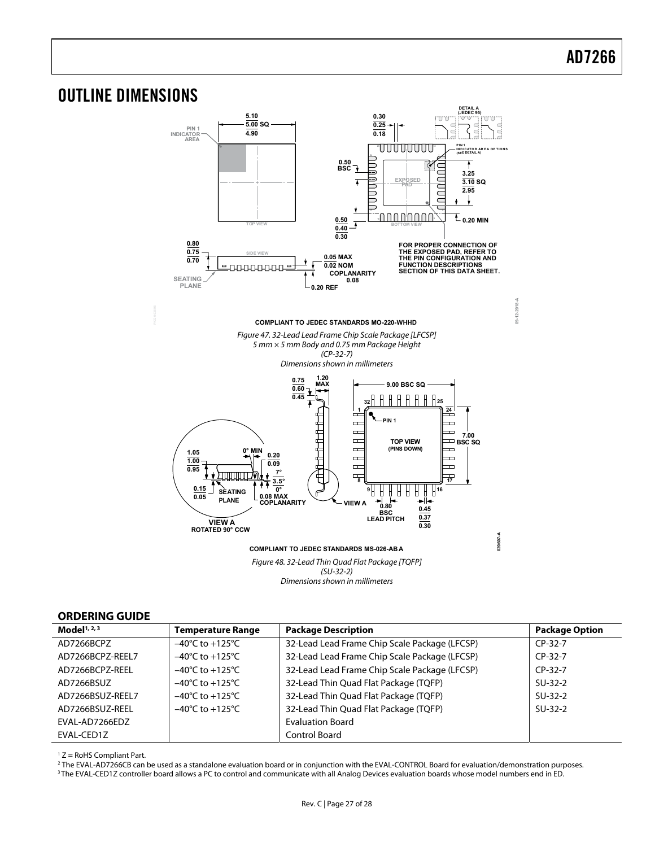**09-12-2018-A**

2018-A  $09 - 12 - 3$ 

### <span id="page-26-1"></span><span id="page-26-0"></span>OUTLINE DIMENSIONS



Figure 48. 32-Lead Thin Quad Flat Package [TQFP] (SU-32-2) Dimensions shown in millimeters

#### **ORDERING GUIDE**

| Model $1, 2, 3$  | <b>Temperature Range</b>            | <b>Package Description</b>                    | <b>Package Option</b> |
|------------------|-------------------------------------|-----------------------------------------------|-----------------------|
| AD7266BCPZ       | $-40^{\circ}$ C to $+125^{\circ}$ C | 32-Lead Lead Frame Chip Scale Package (LFCSP) | $CP-32-7$             |
| AD7266BCPZ-REEL7 | $-40^{\circ}$ C to $+125^{\circ}$ C | 32-Lead Lead Frame Chip Scale Package (LFCSP) | $CP-32-7$             |
| AD7266BCPZ-REEL  | $-40^{\circ}$ C to $+125^{\circ}$ C | 32-Lead Lead Frame Chip Scale Package (LFCSP) | $CP-32-7$             |
| AD7266BSUZ       | $-40^{\circ}$ C to $+125^{\circ}$ C | 32-Lead Thin Quad Flat Package (TQFP)         | $SU-32-2$             |
| AD7266BSUZ-REEL7 | $-40^{\circ}$ C to $+125^{\circ}$ C | 32-Lead Thin Quad Flat Package (TQFP)         | $SU-32-2$             |
| AD7266BSUZ-REEL  | $-40^{\circ}$ C to $+125^{\circ}$ C | 32-Lead Thin Quad Flat Package (TQFP)         | $SU-32-2$             |
| EVAL-AD7266EDZ   |                                     | <b>Evaluation Board</b>                       |                       |
| EVAL-CED1Z       |                                     | <b>Control Board</b>                          |                       |

 $1 Z =$  RoHS Compliant Part.

<sup>2</sup> The EVAL-AD7266CB can be used as a standalone evaluation board or in conjunction with the EVAL-CONTROL Board for evaluation/demonstration purposes.<br><sup>3</sup> The EVAL-CED1Z controller board allows a PC to control and communi